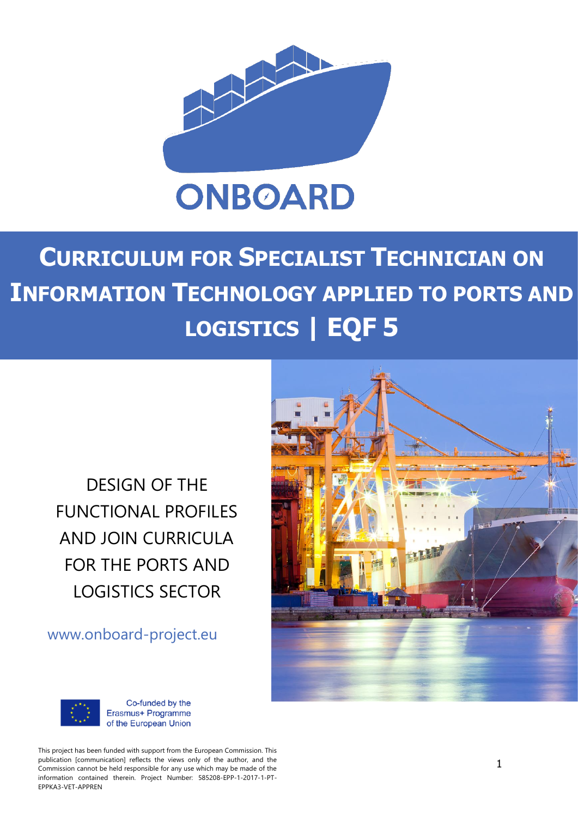

# **CURRICULUM FOR SPECIALIST TECHNICIAN ON INFORMATION TECHNOLOGY APPLIED TO PORTS AND LOGISTICS | EQF 5**

DESIGN OF THE FUNCTIONAL PROFILES AND JOIN CURRICULA FOR THE PORTS AND LOGISTICS SECTOR

www.onboard-project.eu





Co-funded by the Erasmus+ Programme of the European Union

This project has been funded with support from the European Commission. This publication [communication] reflects the views only of the author, and the Commission cannot be held responsible for any use which may be made of the information contained therein. Project Number: 585208-EPP-1-2017-1-PT-EPPKA3-VET-APPREN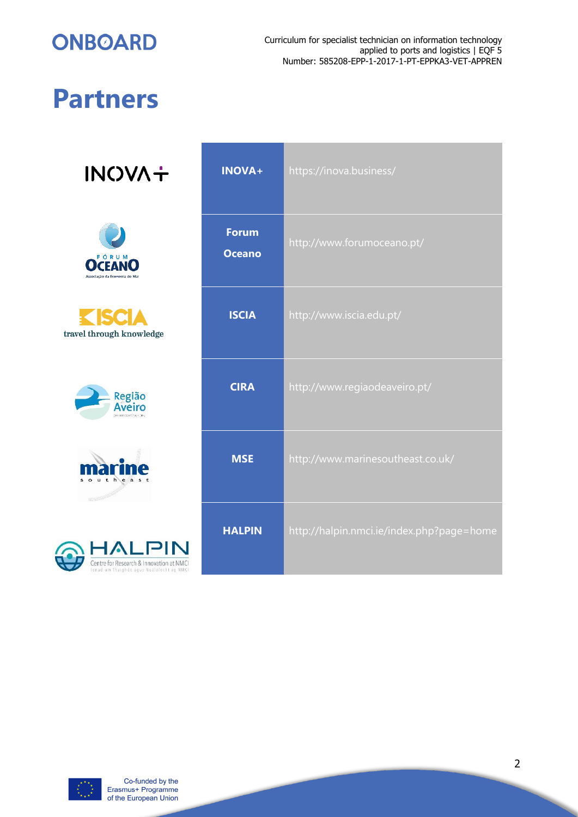

# **Partners**

**INOVA+** 



travel through knowledge







| <b>INOVA+</b>                 | https://inova.business/                   |
|-------------------------------|-------------------------------------------|
| <b>Forum</b><br><b>Oceano</b> | http://www.forumoceano.pt/                |
| <b>ISCIA</b>                  | http://www.iscia.edu.pt/                  |
| <b>CIRA</b>                   | http://www.regiaodeaveiro.pt/             |
| <b>MSE</b>                    | http://www.marinesoutheast.co.uk/         |
| <b>HALPIN</b>                 | http://halpin.nmci.ie/index.php?page=home |

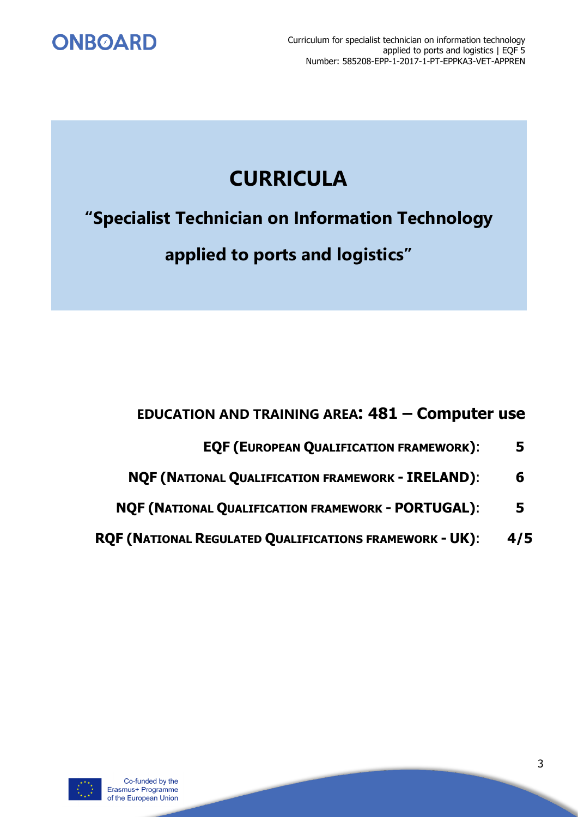

## **CURRICULA**

**"Specialist Technician on Information Technology**

**applied to ports and logistics"**

## **EDUCATION AND TRAINING AREA: 481 – Computer use**

- **EQF (EUROPEAN QUALIFICATION FRAMEWORK)**: **5**
- **NQF (NATIONAL QUALIFICATION FRAMEWORK - IRELAND)**: **6**
- **NQF (NATIONAL QUALIFICATION FRAMEWORK - PORTUGAL)**: **5**
- **RQF (NATIONAL REGULATED QUALIFICATIONS FRAMEWORK - UK)**: **4/5**

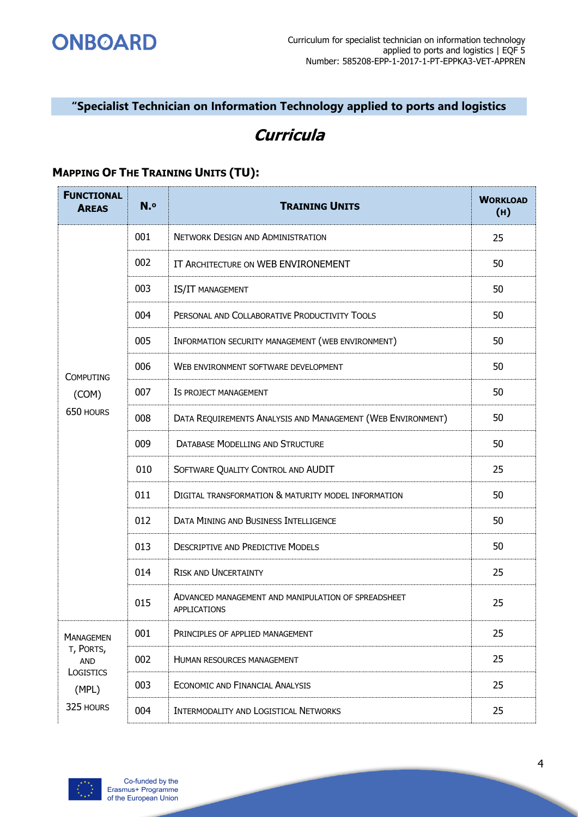

### **"Specialist Technician on Information Technology applied to ports and logistics**

## **Curricula**

#### **MAPPING OF THE TRAINING UNITS (TU):**

| <b>FUNCTIONAL</b><br><b>AREAS</b> | N.º | <b>TRAINING UNITS</b>                                                      | <b>WORKLOAD</b><br>(H) |
|-----------------------------------|-----|----------------------------------------------------------------------------|------------------------|
|                                   | 001 | <b>NETWORK DESIGN AND ADMINISTRATION</b>                                   | 25                     |
|                                   | 002 | IT ARCHITECTURE ON WEB ENVIRONEMENT                                        | 50                     |
|                                   | 003 | IS/IT MANAGEMENT                                                           | 50                     |
|                                   | 004 | PERSONAL AND COLLABORATIVE PRODUCTIVITY TOOLS                              | 50                     |
|                                   | 005 | INFORMATION SECURITY MANAGEMENT (WEB ENVIRONMENT)                          | 50                     |
| <b>COMPUTING</b>                  | 006 | WEB ENVIRONMENT SOFTWARE DEVELOPMENT                                       | 50                     |
| (COM)                             | 007 | IS PROJECT MANAGEMENT                                                      | 50                     |
| 650 HOURS                         | 008 | DATA REQUIREMENTS ANALYSIS AND MANAGEMENT (WEB ENVIRONMENT)                | 50                     |
|                                   | 009 | <b>DATABASE MODELLING AND STRUCTURE</b>                                    | 50                     |
|                                   | 010 | SOFTWARE QUALITY CONTROL AND AUDIT                                         | 25                     |
|                                   | 011 | DIGITAL TRANSFORMATION & MATURITY MODEL INFORMATION                        | 50                     |
|                                   | 012 | <b>DATA MINING AND BUSINESS INTELLIGENCE</b>                               | 50                     |
|                                   | 013 | <b>DESCRIPTIVE AND PREDICTIVE MODELS</b>                                   | 50                     |
|                                   | 014 | <b>RISK AND UNCERTAINTY</b>                                                | 25                     |
|                                   | 015 | ADVANCED MANAGEMENT AND MANIPULATION OF SPREADSHEET<br><b>APPLICATIONS</b> | 25                     |
| <b>MANAGEMEN</b>                  | 001 | PRINCIPLES OF APPLIED MANAGEMENT                                           | 25                     |
| T, PORTS,<br>AND                  | 002 | <b>HUMAN RESOURCES MANAGEMENT</b>                                          | 25                     |
| LOGISTICS<br>(MPL)                | 003 | <b>ECONOMIC AND FINANCIAL ANALYSIS</b>                                     | 25                     |
| 325 HOURS                         | 004 | INTERMODALITY AND LOGISTICAL NETWORKS                                      | 25                     |

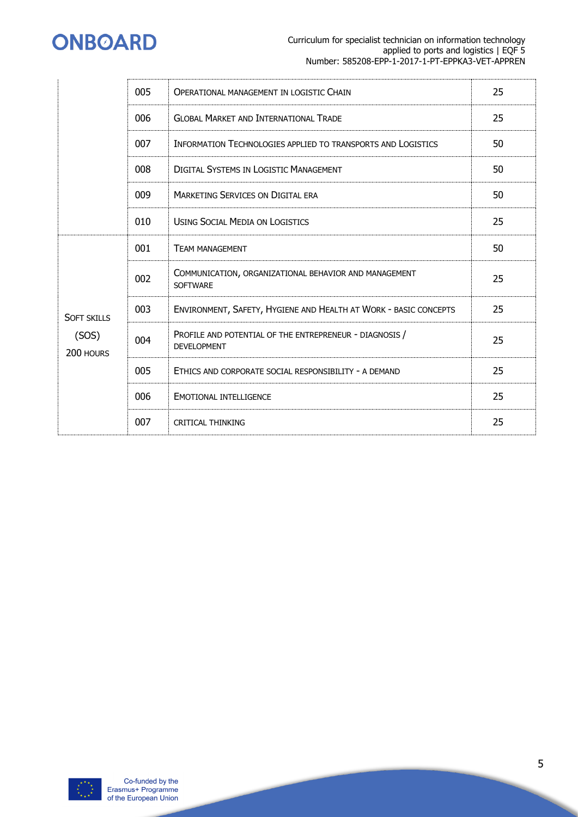

|                                          | 005 | <b>OPERATIONAL MANAGEMENT IN LOGISTIC CHAIN</b>                               | 25 |
|------------------------------------------|-----|-------------------------------------------------------------------------------|----|
|                                          | 006 | <b>GLOBAL MARKET AND INTERNATIONAL TRADE</b>                                  | 25 |
|                                          | 007 | <b>INFORMATION TECHNOLOGIES APPLIED TO TRANSPORTS AND LOGISTICS</b>           | 50 |
|                                          | 008 | <b>DIGITAL SYSTEMS IN LOGISTIC MANAGEMENT</b>                                 | 50 |
|                                          | 009 | <b>MARKETING SERVICES ON DIGITAL ERA</b>                                      | 50 |
|                                          | 010 | <b>USING SOCIAL MEDIA ON LOGISTICS</b>                                        | 25 |
|                                          | 001 | <b>TEAM MANAGEMENT</b>                                                        | 50 |
| <b>SOFT SKILLS</b><br>(SOS)<br>200 HOURS | 002 | COMMUNICATION, ORGANIZATIONAL BEHAVIOR AND MANAGEMENT<br><b>SOFTWARE</b>      | 25 |
|                                          | 003 | ENVIRONMENT, SAFETY, HYGIENE AND HEALTH AT WORK - BASIC CONCEPTS              | 25 |
|                                          | 004 | PROFILE AND POTENTIAL OF THE ENTREPRENEUR - DIAGNOSIS /<br><b>DEVELOPMENT</b> | 25 |
|                                          | 005 | ETHICS AND CORPORATE SOCIAL RESPONSIBILITY - A DEMAND                         | 25 |
|                                          | 006 | <b>EMOTIONAL INTELLIGENCE</b>                                                 | 25 |
|                                          | 007 | <b>CRITICAL THINKING</b>                                                      | 25 |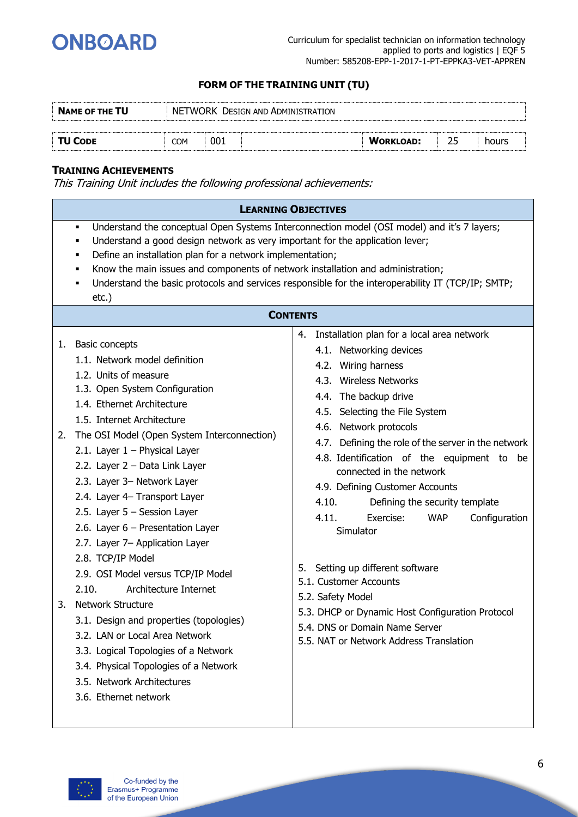

| <b>NAME OF THE TU</b> | NETWORK DESIGN AND ADMINISTRATION |     |  |                  |  |       |  |
|-----------------------|-----------------------------------|-----|--|------------------|--|-------|--|
|                       |                                   |     |  |                  |  |       |  |
| <b>TU CODE</b>        | <b>COM</b>                        | 001 |  | <b>WORKLOAD:</b> |  | hours |  |

#### **TRAINING ACHIEVEMENTS**

|          | <b>LEARNING OBJECTIVES</b>                                                                                                                                                                                                                                                                                                                                                                                                                                                                                                                                                 |                                                                                                                                                                                                                                                                                                                                                                                                                                                                                                                                                                     |  |  |  |  |
|----------|----------------------------------------------------------------------------------------------------------------------------------------------------------------------------------------------------------------------------------------------------------------------------------------------------------------------------------------------------------------------------------------------------------------------------------------------------------------------------------------------------------------------------------------------------------------------------|---------------------------------------------------------------------------------------------------------------------------------------------------------------------------------------------------------------------------------------------------------------------------------------------------------------------------------------------------------------------------------------------------------------------------------------------------------------------------------------------------------------------------------------------------------------------|--|--|--|--|
|          | Understand the conceptual Open Systems Interconnection model (OSI model) and it's 7 layers;<br>٠<br>Understand a good design network as very important for the application lever;<br>٠<br>Define an installation plan for a network implementation;<br>٠<br>Know the main issues and components of network installation and administration;<br>Understand the basic protocols and services responsible for the interoperability IT (TCP/IP; SMTP;<br>٠<br>$etc.$ )<br><b>CONTENTS</b>                                                                                      |                                                                                                                                                                                                                                                                                                                                                                                                                                                                                                                                                                     |  |  |  |  |
|          |                                                                                                                                                                                                                                                                                                                                                                                                                                                                                                                                                                            |                                                                                                                                                                                                                                                                                                                                                                                                                                                                                                                                                                     |  |  |  |  |
| 1.<br>2. | <b>Basic concepts</b><br>1.1. Network model definition<br>1.2. Units of measure<br>1.3. Open System Configuration<br>1.4. Ethernet Architecture<br>1.5. Internet Architecture<br>The OSI Model (Open System Interconnection)<br>2.1. Layer $1$ – Physical Layer<br>2.2. Layer 2 - Data Link Layer<br>2.3. Layer 3- Network Layer<br>2.4. Layer 4- Transport Layer<br>2.5. Layer $5 -$ Session Layer<br>2.6. Layer $6$ – Presentation Layer<br>2.7. Layer 7- Application Layer<br>2.8. TCP/IP Model<br>2.9. OSI Model versus TCP/IP Model<br>2.10.<br>Architecture Internet | Installation plan for a local area network<br>4.<br>4.1. Networking devices<br>4.2. Wiring harness<br>4.3. Wireless Networks<br>4.4. The backup drive<br>4.5. Selecting the File System<br>4.6. Network protocols<br>4.7. Defining the role of the server in the network<br>4.8. Identification of the equipment to be<br>connected in the network<br>4.9. Defining Customer Accounts<br>4.10.<br>Defining the security template<br>4.11.<br>Exercise:<br>Configuration<br><b>WAP</b><br>Simulator<br>Setting up different software<br>5.<br>5.1. Customer Accounts |  |  |  |  |
| 3.       | Network Structure<br>3.1. Design and properties (topologies)<br>3.2. LAN or Local Area Network<br>3.3. Logical Topologies of a Network<br>3.4. Physical Topologies of a Network<br>3.5. Network Architectures<br>3.6. Ethernet network                                                                                                                                                                                                                                                                                                                                     | 5.2. Safety Model<br>5.3. DHCP or Dynamic Host Configuration Protocol<br>5.4. DNS or Domain Name Server<br>5.5. NAT or Network Address Translation                                                                                                                                                                                                                                                                                                                                                                                                                  |  |  |  |  |

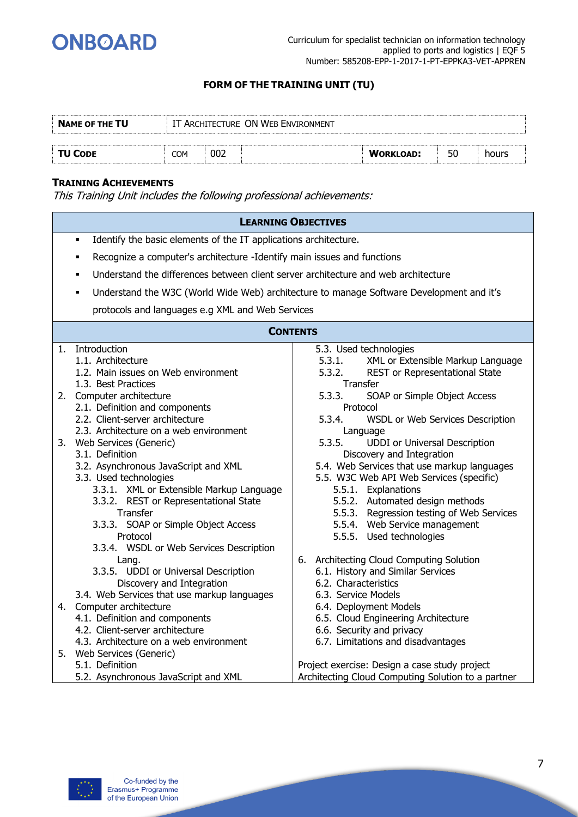

| <b>NAME OF THE TU</b> | IT ARCHITECTURE ON WEB ENVIRONMENT |     |  |                  |    |       |
|-----------------------|------------------------------------|-----|--|------------------|----|-------|
|                       |                                    |     |  |                  |    |       |
| <b>TU CODE</b>        | COM                                | 002 |  | <b>WORKLOAD:</b> | 50 | hours |

#### **TRAINING ACHIEVEMENTS**

|    | <b>LEARNING OBJECTIVES</b>                                                                                                                                                                                                                                                                                    |                                                                                                                                                                                                                                                                                                                                            |
|----|---------------------------------------------------------------------------------------------------------------------------------------------------------------------------------------------------------------------------------------------------------------------------------------------------------------|--------------------------------------------------------------------------------------------------------------------------------------------------------------------------------------------------------------------------------------------------------------------------------------------------------------------------------------------|
|    | Identify the basic elements of the IT applications architecture.<br>$\blacksquare$                                                                                                                                                                                                                            |                                                                                                                                                                                                                                                                                                                                            |
|    | Recognize a computer's architecture -Identify main issues and functions<br>$\blacksquare$                                                                                                                                                                                                                     |                                                                                                                                                                                                                                                                                                                                            |
|    | Understand the differences between client server architecture and web architecture<br>$\blacksquare$                                                                                                                                                                                                          |                                                                                                                                                                                                                                                                                                                                            |
|    | ٠                                                                                                                                                                                                                                                                                                             | Understand the W3C (World Wide Web) architecture to manage Software Development and it's                                                                                                                                                                                                                                                   |
|    | protocols and languages e.g XML and Web Services                                                                                                                                                                                                                                                              |                                                                                                                                                                                                                                                                                                                                            |
|    |                                                                                                                                                                                                                                                                                                               |                                                                                                                                                                                                                                                                                                                                            |
|    | <b>CONTENTS</b>                                                                                                                                                                                                                                                                                               |                                                                                                                                                                                                                                                                                                                                            |
| 1. | Introduction<br>1.1. Architecture<br>1.2. Main issues on Web environment<br>1.3. Best Practices                                                                                                                                                                                                               | 5.3. Used technologies<br>XML or Extensible Markup Language<br>5.3.1.<br>REST or Representational State<br>5.3.2.<br>Transfer                                                                                                                                                                                                              |
|    | 2. Computer architecture<br>2.1. Definition and components<br>2.2. Client-server architecture<br>2.3. Architecture on a web environment                                                                                                                                                                       | 5.3.3.<br>SOAP or Simple Object Access<br>Protocol<br>5.3.4.<br>WSDL or Web Services Description<br>Language                                                                                                                                                                                                                               |
|    | 3. Web Services (Generic)<br>3.1. Definition<br>3.2. Asynchronous JavaScript and XML<br>3.3. Used technologies<br>3.3.1. XML or Extensible Markup Language<br>3.3.2. REST or Representational State<br>Transfer<br>3.3.3. SOAP or Simple Object Access<br>Protocol<br>3.3.4. WSDL or Web Services Description | <b>UDDI</b> or Universal Description<br>5.3.5.<br>Discovery and Integration<br>5.4. Web Services that use markup languages<br>5.5. W3C Web API Web Services (specific)<br>5.5.1. Explanations<br>5.5.2. Automated design methods<br>5.5.3. Regression testing of Web Services<br>5.5.4. Web Service management<br>5.5.5. Used technologies |
|    | Lang.<br>3.3.5. UDDI or Universal Description<br>Discovery and Integration<br>3.4. Web Services that use markup languages<br>4. Computer architecture<br>4.1. Definition and components<br>4.2. Client-server architecture<br>4.3. Architecture on a web environment                                          | 6. Architecting Cloud Computing Solution<br>6.1. History and Similar Services<br>6.2. Characteristics<br>6.3. Service Models<br>6.4. Deployment Models<br>6.5. Cloud Engineering Architecture<br>6.6. Security and privacy<br>6.7. Limitations and disadvantages                                                                           |
|    | 5. Web Services (Generic)<br>5.1. Definition<br>5.2. Asynchronous JavaScript and XML                                                                                                                                                                                                                          | Project exercise: Design a case study project<br>Architecting Cloud Computing Solution to a partner                                                                                                                                                                                                                                        |

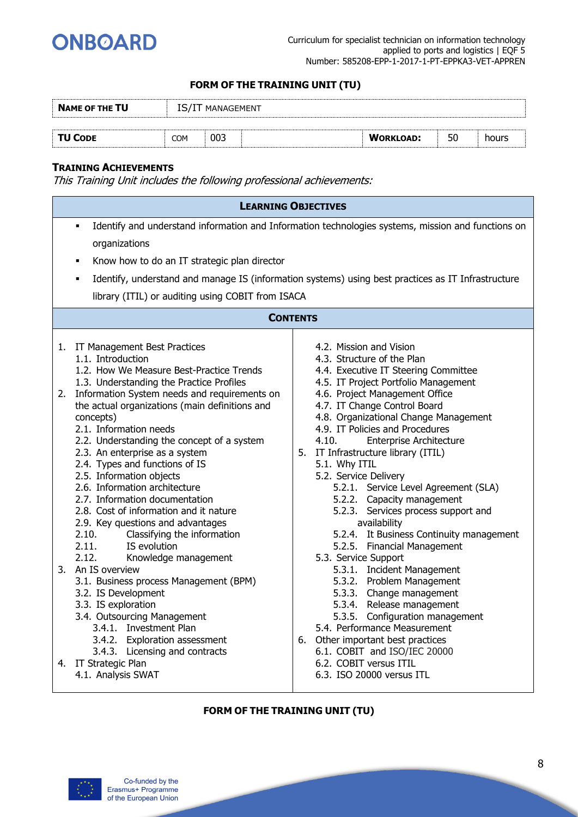

| <b>NAME OF THE TU</b> | IS/I | MANAGEMENT |  |                  |    |       |  |  |
|-----------------------|------|------------|--|------------------|----|-------|--|--|
|                       |      |            |  |                  |    |       |  |  |
| <b>TU CODE</b>        | COM  | 003        |  | <b>WORKLOAD:</b> | 50 | hours |  |  |

#### **TRAINING ACHIEVEMENTS**

This Training Unit includes the following professional achievements:

| <b>LEARNING OBJECTIVES</b>                                                                                                                                                                                                                                                                                                                                                                                                                                                                                                                 |                                                                                                                                                                                                                                                                                                                                                                                                                                                                                                        |
|--------------------------------------------------------------------------------------------------------------------------------------------------------------------------------------------------------------------------------------------------------------------------------------------------------------------------------------------------------------------------------------------------------------------------------------------------------------------------------------------------------------------------------------------|--------------------------------------------------------------------------------------------------------------------------------------------------------------------------------------------------------------------------------------------------------------------------------------------------------------------------------------------------------------------------------------------------------------------------------------------------------------------------------------------------------|
| $\blacksquare$<br>organizations                                                                                                                                                                                                                                                                                                                                                                                                                                                                                                            | Identify and understand information and Information technologies systems, mission and functions on                                                                                                                                                                                                                                                                                                                                                                                                     |
| Know how to do an IT strategic plan director<br>$\blacksquare$                                                                                                                                                                                                                                                                                                                                                                                                                                                                             |                                                                                                                                                                                                                                                                                                                                                                                                                                                                                                        |
| ٠                                                                                                                                                                                                                                                                                                                                                                                                                                                                                                                                          | Identify, understand and manage IS (information systems) using best practices as IT Infrastructure                                                                                                                                                                                                                                                                                                                                                                                                     |
| library (ITIL) or auditing using COBIT from ISACA                                                                                                                                                                                                                                                                                                                                                                                                                                                                                          |                                                                                                                                                                                                                                                                                                                                                                                                                                                                                                        |
| <b>CONTENTS</b>                                                                                                                                                                                                                                                                                                                                                                                                                                                                                                                            |                                                                                                                                                                                                                                                                                                                                                                                                                                                                                                        |
| 1. IT Management Best Practices<br>1.1. Introduction<br>1.2. How We Measure Best-Practice Trends<br>1.3. Understanding the Practice Profiles                                                                                                                                                                                                                                                                                                                                                                                               | 4.2. Mission and Vision<br>4.3. Structure of the Plan<br>4.4. Executive IT Steering Committee<br>4.5. IT Project Portfolio Management                                                                                                                                                                                                                                                                                                                                                                  |
| 2. Information System needs and requirements on<br>the actual organizations (main definitions and<br>concepts)<br>2.1. Information needs<br>2.2. Understanding the concept of a system<br>2.3. An enterprise as a system<br>2.4. Types and functions of IS<br>2.5. Information objects<br>2.6. Information architecture<br>2.7. Information documentation<br>2.8. Cost of information and it nature<br>2.9. Key questions and advantages<br>Classifying the information<br>2.10.<br>IS evolution<br>2.11.<br>2.12.<br>Knowledge management | 4.6. Project Management Office<br>4.7. IT Change Control Board<br>4.8. Organizational Change Management<br>4.9. IT Policies and Procedures<br><b>Enterprise Architecture</b><br>4.10.<br>5. IT Infrastructure library (ITIL)<br>5.1. Why ITIL<br>5.2. Service Delivery<br>5.2.1. Service Level Agreement (SLA)<br>5.2.2. Capacity management<br>5.2.3. Services process support and<br>availability<br>5.2.4. It Business Continuity management<br>5.2.5. Financial Management<br>5.3. Service Support |
| 3. An IS overview<br>3.1. Business process Management (BPM)<br>3.2. IS Development<br>3.3. IS exploration<br>3.4. Outsourcing Management<br>3.4.1. Investment Plan<br>3.4.2. Exploration assessment<br>3.4.3. Licensing and contracts                                                                                                                                                                                                                                                                                                      | 5.3.1. Incident Management<br>5.3.2. Problem Management<br>5.3.3. Change management<br>5.3.4. Release management<br>5.3.5. Configuration management<br>5.4. Performance Measurement<br>6. Other important best practices<br>6.1. COBIT and ISO/IEC 20000                                                                                                                                                                                                                                               |
| 4. IT Strategic Plan<br>4.1. Analysis SWAT                                                                                                                                                                                                                                                                                                                                                                                                                                                                                                 | 6.2. COBIT versus ITIL<br>6.3. ISO 20000 versus ITL                                                                                                                                                                                                                                                                                                                                                                                                                                                    |

#### **FORM OF THE TRAINING UNIT (TU)**

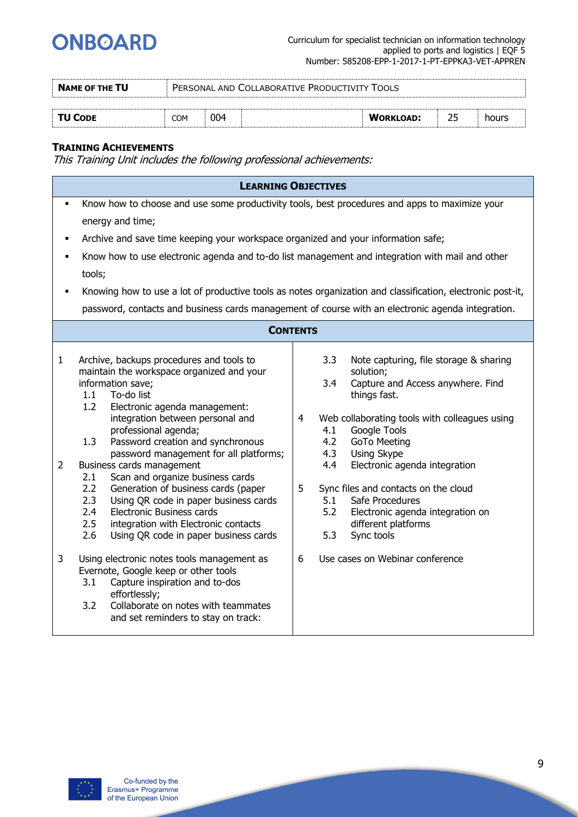

| <b>NAME OF THE TU</b> |     | PERSONAL AND COLLABORATIVE PRODUCTIVITY<br>TOOI S |  |                  |  |       |  |
|-----------------------|-----|---------------------------------------------------|--|------------------|--|-------|--|
|                       |     |                                                   |  |                  |  |       |  |
| <b>TU CODE</b>        | COM | 004                                               |  | <b>WORKLOAD:</b> |  | hours |  |

#### **TRAINING ACHIEVEMENTS**

|                                |                                                                                                                                                                                                                                                                                                                                                                                                   | <b>LEARNING OBJECTIVES</b>                                                                                                                                                                                                                                                                      |  |  |  |  |  |  |  |  |
|--------------------------------|---------------------------------------------------------------------------------------------------------------------------------------------------------------------------------------------------------------------------------------------------------------------------------------------------------------------------------------------------------------------------------------------------|-------------------------------------------------------------------------------------------------------------------------------------------------------------------------------------------------------------------------------------------------------------------------------------------------|--|--|--|--|--|--|--|--|
| ٠                              |                                                                                                                                                                                                                                                                                                                                                                                                   | Know how to choose and use some productivity tools, best procedures and apps to maximize your                                                                                                                                                                                                   |  |  |  |  |  |  |  |  |
|                                | energy and time;                                                                                                                                                                                                                                                                                                                                                                                  |                                                                                                                                                                                                                                                                                                 |  |  |  |  |  |  |  |  |
| ٠                              | Archive and save time keeping your workspace organized and your information safe;                                                                                                                                                                                                                                                                                                                 |                                                                                                                                                                                                                                                                                                 |  |  |  |  |  |  |  |  |
| ٠                              |                                                                                                                                                                                                                                                                                                                                                                                                   | Know how to use electronic agenda and to-do list management and integration with mail and other                                                                                                                                                                                                 |  |  |  |  |  |  |  |  |
|                                | tools;                                                                                                                                                                                                                                                                                                                                                                                            |                                                                                                                                                                                                                                                                                                 |  |  |  |  |  |  |  |  |
| $\blacksquare$                 | Knowing how to use a lot of productive tools as notes organization and classification, electronic post-it,                                                                                                                                                                                                                                                                                        |                                                                                                                                                                                                                                                                                                 |  |  |  |  |  |  |  |  |
|                                | password, contacts and business cards management of course with an electronic agenda integration.                                                                                                                                                                                                                                                                                                 |                                                                                                                                                                                                                                                                                                 |  |  |  |  |  |  |  |  |
|                                | <b>CONTENTS</b>                                                                                                                                                                                                                                                                                                                                                                                   |                                                                                                                                                                                                                                                                                                 |  |  |  |  |  |  |  |  |
| $\mathbf{1}$<br>$\overline{2}$ | Archive, backups procedures and tools to<br>maintain the workspace organized and your<br>information save;<br>To-do list<br>1.1<br>1.2<br>Electronic agenda management:<br>integration between personal and<br>professional agenda;<br>1.3<br>Password creation and synchronous<br>password management for all platforms;<br>Business cards management<br>Scan and organize business cards<br>2.1 | 3.3<br>Note capturing, file storage & sharing<br>solution;<br>3.4<br>Capture and Access anywhere. Find<br>things fast.<br>Web collaborating tools with colleagues using<br>4<br>4.1<br>Google Tools<br>4.2<br><b>GoTo Meeting</b><br>4.3<br>Using Skype<br>4.4<br>Electronic agenda integration |  |  |  |  |  |  |  |  |
|                                | 2.2<br>Generation of business cards (paper<br>2.3<br>Using QR code in paper business cards<br>2.4<br><b>Electronic Business cards</b><br>2.5<br>integration with Electronic contacts<br>2.6<br>Using QR code in paper business cards                                                                                                                                                              | 5<br>Sync files and contacts on the cloud<br>5.1<br>Safe Procedures<br>5.2<br>Electronic agenda integration on<br>different platforms<br>Sync tools<br>5.3                                                                                                                                      |  |  |  |  |  |  |  |  |
| 3                              | Using electronic notes tools management as<br>Evernote, Google keep or other tools<br>Capture inspiration and to-dos<br>3.1<br>effortlessly;<br>Collaborate on notes with teammates<br>3.2<br>and set reminders to stay on track:                                                                                                                                                                 | 6<br>Use cases on Webinar conference                                                                                                                                                                                                                                                            |  |  |  |  |  |  |  |  |

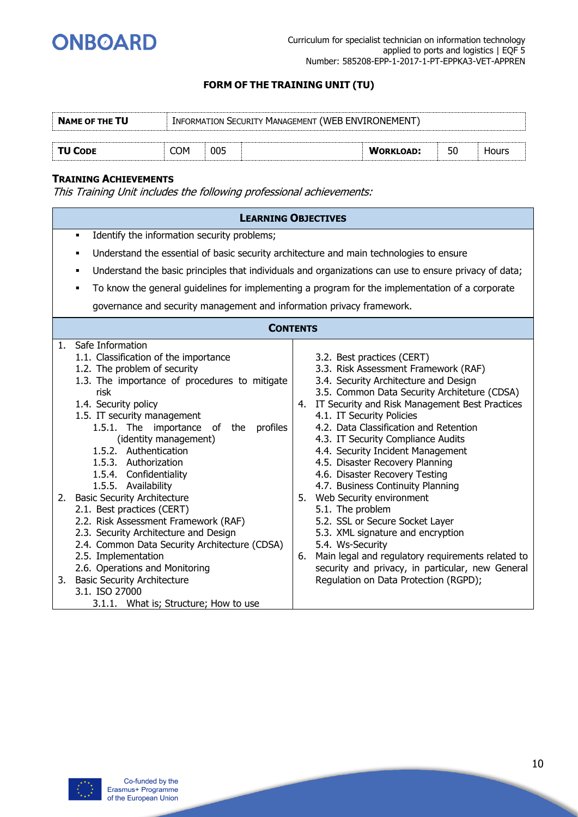

| <b>NAME OF THE TU</b> |     | <b>INFORMATION SECURITY MANAGEMENT (WEB ENVIRONEMENT</b> |  |                  |  |       |  |
|-----------------------|-----|----------------------------------------------------------|--|------------------|--|-------|--|
| <b>TU CODE</b>        | COM | 005                                                      |  | <b>WORKLOAD:</b> |  | Hours |  |

#### **TRAINING ACHIEVEMENTS**

|                                                                                                                                                                                                                                                                                                                                                                                                                                                                                                                                                                                                                                                                                                                                                   | <b>LEARNING OBJECTIVES</b>                                                                                                                                                                                                                                                                                                                                                                                                                                                                                                                                                                                                                                                                                                                                                          |  |  |  |  |  |
|---------------------------------------------------------------------------------------------------------------------------------------------------------------------------------------------------------------------------------------------------------------------------------------------------------------------------------------------------------------------------------------------------------------------------------------------------------------------------------------------------------------------------------------------------------------------------------------------------------------------------------------------------------------------------------------------------------------------------------------------------|-------------------------------------------------------------------------------------------------------------------------------------------------------------------------------------------------------------------------------------------------------------------------------------------------------------------------------------------------------------------------------------------------------------------------------------------------------------------------------------------------------------------------------------------------------------------------------------------------------------------------------------------------------------------------------------------------------------------------------------------------------------------------------------|--|--|--|--|--|
| Identify the information security problems;<br>٠                                                                                                                                                                                                                                                                                                                                                                                                                                                                                                                                                                                                                                                                                                  |                                                                                                                                                                                                                                                                                                                                                                                                                                                                                                                                                                                                                                                                                                                                                                                     |  |  |  |  |  |
| Understand the essential of basic security architecture and main technologies to ensure<br>٠                                                                                                                                                                                                                                                                                                                                                                                                                                                                                                                                                                                                                                                      |                                                                                                                                                                                                                                                                                                                                                                                                                                                                                                                                                                                                                                                                                                                                                                                     |  |  |  |  |  |
| ٠                                                                                                                                                                                                                                                                                                                                                                                                                                                                                                                                                                                                                                                                                                                                                 | Understand the basic principles that individuals and organizations can use to ensure privacy of data;                                                                                                                                                                                                                                                                                                                                                                                                                                                                                                                                                                                                                                                                               |  |  |  |  |  |
| ٠                                                                                                                                                                                                                                                                                                                                                                                                                                                                                                                                                                                                                                                                                                                                                 | To know the general guidelines for implementing a program for the implementation of a corporate                                                                                                                                                                                                                                                                                                                                                                                                                                                                                                                                                                                                                                                                                     |  |  |  |  |  |
| governance and security management and information privacy framework.                                                                                                                                                                                                                                                                                                                                                                                                                                                                                                                                                                                                                                                                             |                                                                                                                                                                                                                                                                                                                                                                                                                                                                                                                                                                                                                                                                                                                                                                                     |  |  |  |  |  |
|                                                                                                                                                                                                                                                                                                                                                                                                                                                                                                                                                                                                                                                                                                                                                   | <b>CONTENTS</b>                                                                                                                                                                                                                                                                                                                                                                                                                                                                                                                                                                                                                                                                                                                                                                     |  |  |  |  |  |
| Safe Information<br>1.<br>1.1. Classification of the importance<br>1.2. The problem of security<br>1.3. The importance of procedures to mitigate<br>risk<br>1.4. Security policy<br>1.5. IT security management<br>1.5.1. The importance<br>of the<br>profiles<br>(identity management)<br>1.5.2. Authentication<br>1.5.3. Authorization<br>1.5.4. Confidentiality<br>1.5.5. Availability<br>2. Basic Security Architecture<br>2.1. Best practices (CERT)<br>2.2. Risk Assessment Framework (RAF)<br>2.3. Security Architecture and Design<br>2.4. Common Data Security Architecture (CDSA)<br>2.5. Implementation<br>2.6. Operations and Monitoring<br>3. Basic Security Architecture<br>3.1. ISO 27000<br>3.1.1. What is; Structure; How to use | 3.2. Best practices (CERT)<br>3.3. Risk Assessment Framework (RAF)<br>3.4. Security Architecture and Design<br>3.5. Common Data Security Architeture (CDSA)<br>4. IT Security and Risk Management Best Practices<br>4.1. IT Security Policies<br>4.2. Data Classification and Retention<br>4.3. IT Security Compliance Audits<br>4.4. Security Incident Management<br>4.5. Disaster Recovery Planning<br>4.6. Disaster Recovery Testing<br>4.7. Business Continuity Planning<br>5. Web Security environment<br>5.1. The problem<br>5.2. SSL or Secure Socket Layer<br>5.3. XML signature and encryption<br>5.4. Ws-Security<br>Main legal and regulatory requirements related to<br>6.<br>security and privacy, in particular, new General<br>Regulation on Data Protection (RGPD); |  |  |  |  |  |

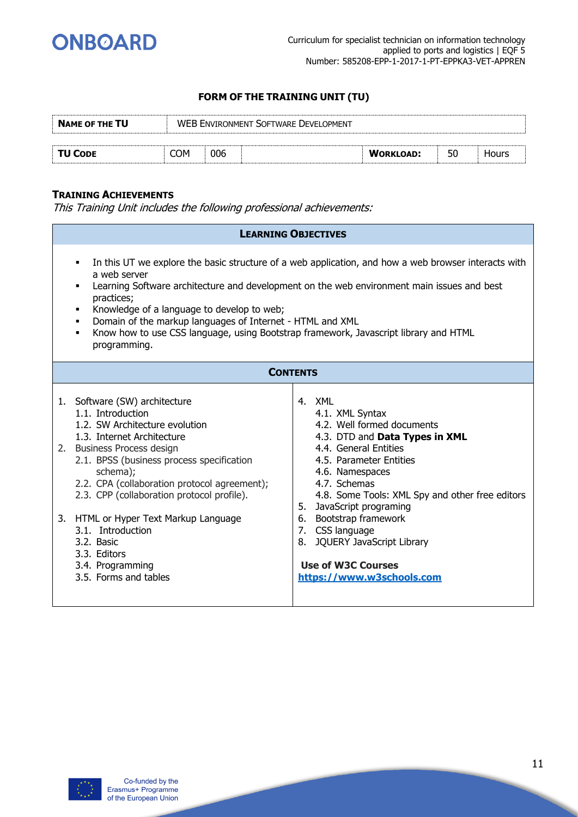

| <b>NAME OF THE TU</b> |     |     | <b>WEB ENVIRONMENT SOFTWARE DEVELOPMENT</b> |                  |    |              |
|-----------------------|-----|-----|---------------------------------------------|------------------|----|--------------|
| TU CODE               | COM | 006 |                                             | <b>WORKLOAD:</b> | 50 | <b>Hours</b> |
|                       |     |     |                                             |                  |    |              |

#### **TRAINING ACHIEVEMENTS**

| <b>LEARNING OBJECTIVES</b>                                                                                                                                                                                                                                                                                                                                                                                                                                              |          |                                                                                                                                                                                                                                                                                                                                                                                                  |  |  |  |
|-------------------------------------------------------------------------------------------------------------------------------------------------------------------------------------------------------------------------------------------------------------------------------------------------------------------------------------------------------------------------------------------------------------------------------------------------------------------------|----------|--------------------------------------------------------------------------------------------------------------------------------------------------------------------------------------------------------------------------------------------------------------------------------------------------------------------------------------------------------------------------------------------------|--|--|--|
| In this UT we explore the basic structure of a web application, and how a web browser interacts with<br>٠<br>a web server<br>Learning Software architecture and development on the web environment main issues and best<br>practices;<br>Knowledge of a language to develop to web;<br>٠<br>Domain of the markup languages of Internet - HTML and XML<br>٠<br>Know how to use CSS language, using Bootstrap framework, Javascript library and HTML<br>٠<br>programming. |          |                                                                                                                                                                                                                                                                                                                                                                                                  |  |  |  |
| <b>CONTENTS</b>                                                                                                                                                                                                                                                                                                                                                                                                                                                         |          |                                                                                                                                                                                                                                                                                                                                                                                                  |  |  |  |
| 1. Software (SW) architecture<br>1.1. Introduction<br>1.2. SW Architecture evolution<br>1.3. Internet Architecture<br>2. Business Process design<br>2.1. BPSS (business process specification<br>schema);<br>2.2. CPA (collaboration protocol agreement);<br>2.3. CPP (collaboration protocol profile).<br>3. HTML or Hyper Text Markup Language<br>3.1. Introduction<br>3.2. Basic<br>3.3. Editors<br>3.4. Programming<br>3.5. Forms and tables                        | 5.<br>6. | 4. XML<br>4.1. XML Syntax<br>4.2. Well formed documents<br>4.3. DTD and Data Types in XML<br>4.4. General Entities<br>4.5. Parameter Entities<br>4.6. Namespaces<br>4.7. Schemas<br>4.8. Some Tools: XML Spy and other free editors<br>JavaScript programing<br>Bootstrap framework<br>7. CSS language<br>8. JQUERY JavaScript Library<br><b>Use of W3C Courses</b><br>https://www.w3schools.com |  |  |  |

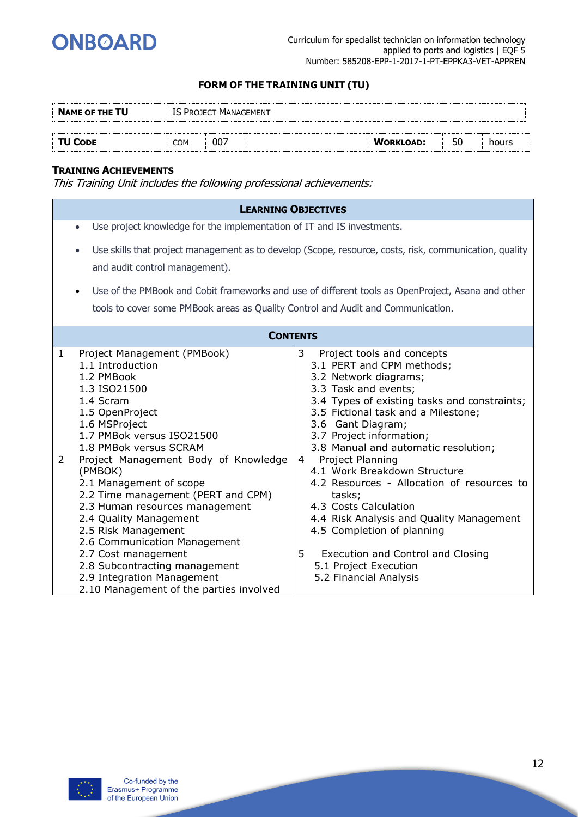

| <b>NAME OF THE TU</b> |            | <b>IS PROJECT MANAGEMENT</b> |                  |    |       |
|-----------------------|------------|------------------------------|------------------|----|-------|
|                       |            |                              |                  |    |       |
| TU CODE               | <b>COM</b> | 007                          | <b>WORKLOAD:</b> | 50 | hours |

#### **TRAINING ACHIEVEMENTS**

|                                                                                                                                                                                                                                                                                                                                                                                                                                                                                                                                                                                      | <b>LEARNING OBJECTIVES</b>                                                                                                                                                                                                                                                                                                                                                                                                                                                                                                                                                                                                  |  |  |  |  |  |  |  |  |
|--------------------------------------------------------------------------------------------------------------------------------------------------------------------------------------------------------------------------------------------------------------------------------------------------------------------------------------------------------------------------------------------------------------------------------------------------------------------------------------------------------------------------------------------------------------------------------------|-----------------------------------------------------------------------------------------------------------------------------------------------------------------------------------------------------------------------------------------------------------------------------------------------------------------------------------------------------------------------------------------------------------------------------------------------------------------------------------------------------------------------------------------------------------------------------------------------------------------------------|--|--|--|--|--|--|--|--|
| Use project knowledge for the implementation of IT and IS investments.<br>$\bullet$                                                                                                                                                                                                                                                                                                                                                                                                                                                                                                  |                                                                                                                                                                                                                                                                                                                                                                                                                                                                                                                                                                                                                             |  |  |  |  |  |  |  |  |
| Use skills that project management as to develop (Scope, resource, costs, risk, communication, quality<br>$\bullet$<br>and audit control management).                                                                                                                                                                                                                                                                                                                                                                                                                                |                                                                                                                                                                                                                                                                                                                                                                                                                                                                                                                                                                                                                             |  |  |  |  |  |  |  |  |
|                                                                                                                                                                                                                                                                                                                                                                                                                                                                                                                                                                                      |                                                                                                                                                                                                                                                                                                                                                                                                                                                                                                                                                                                                                             |  |  |  |  |  |  |  |  |
| $\bullet$                                                                                                                                                                                                                                                                                                                                                                                                                                                                                                                                                                            | Use of the PMBook and Cobit frameworks and use of different tools as OpenProject, Asana and other                                                                                                                                                                                                                                                                                                                                                                                                                                                                                                                           |  |  |  |  |  |  |  |  |
| tools to cover some PMBook areas as Quality Control and Audit and Communication.                                                                                                                                                                                                                                                                                                                                                                                                                                                                                                     |                                                                                                                                                                                                                                                                                                                                                                                                                                                                                                                                                                                                                             |  |  |  |  |  |  |  |  |
|                                                                                                                                                                                                                                                                                                                                                                                                                                                                                                                                                                                      | <b>CONTENTS</b>                                                                                                                                                                                                                                                                                                                                                                                                                                                                                                                                                                                                             |  |  |  |  |  |  |  |  |
| Project Management (PMBook)<br>1<br>1.1 Introduction<br>1.2 PMBook<br>1.3 ISO21500<br>1.4 Scram<br>1.5 OpenProject<br>1.6 MSProject<br>1.7 PMBok versus ISO21500<br>1.8 PMBok versus SCRAM<br>Project Management Body of Knowledge<br>$\overline{2}$<br>(PMBOK)<br>2.1 Management of scope<br>2.2 Time management (PERT and CPM)<br>2.3 Human resources management<br>2.4 Quality Management<br>2.5 Risk Management<br>2.6 Communication Management<br>2.7 Cost management<br>2.8 Subcontracting management<br>2.9 Integration Management<br>2.10 Management of the parties involved | 3<br>Project tools and concepts<br>3.1 PERT and CPM methods;<br>3.2 Network diagrams;<br>3.3 Task and events;<br>3.4 Types of existing tasks and constraints;<br>3.5 Fictional task and a Milestone;<br>3.6 Gant Diagram;<br>3.7 Project information;<br>3.8 Manual and automatic resolution;<br>Project Planning<br>$\overline{4}$<br>4.1 Work Breakdown Structure<br>4.2 Resources - Allocation of resources to<br>tasks;<br>4.3 Costs Calculation<br>4.4 Risk Analysis and Quality Management<br>4.5 Completion of planning<br>5<br>Execution and Control and Closing<br>5.1 Project Execution<br>5.2 Financial Analysis |  |  |  |  |  |  |  |  |

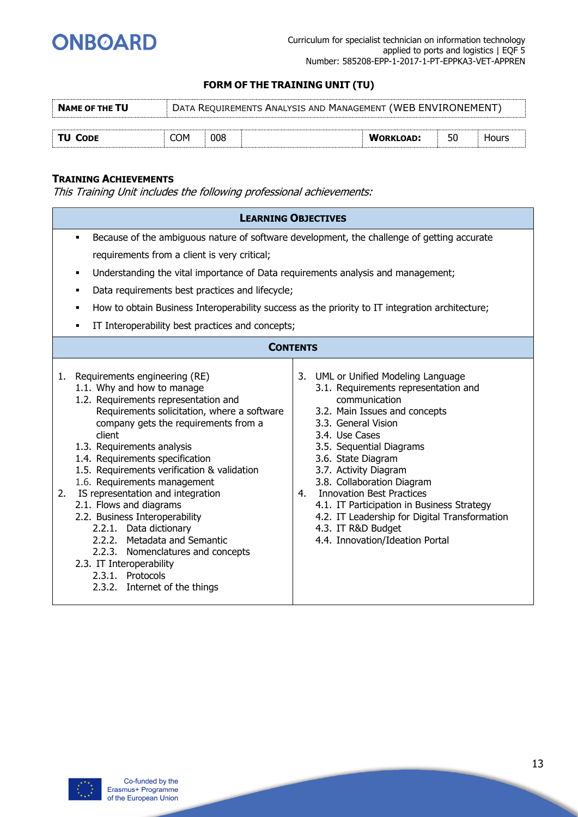

| <b>NAME OF THE TU</b> |     | DATA REQUIREMENTS ANALYSIS AND MANAGEMENT (WEB ENVIRONEMENT) |  |                  |    |       |  |  |
|-----------------------|-----|--------------------------------------------------------------|--|------------------|----|-------|--|--|
|                       |     |                                                              |  |                  |    |       |  |  |
| ' TU CODE             | COM | 008                                                          |  | <b>WORKLOAD:</b> | 50 | Hours |  |  |

#### **TRAINING ACHIEVEMENTS**

|                                                                                                                                                                                                                                                                                                                                                                                                                                                                                                                                                                                                                                                    | <b>LEARNING OBJECTIVES</b>                                                                                                                                                                                                                                                                                                                                                                                                                                              |  |  |  |
|----------------------------------------------------------------------------------------------------------------------------------------------------------------------------------------------------------------------------------------------------------------------------------------------------------------------------------------------------------------------------------------------------------------------------------------------------------------------------------------------------------------------------------------------------------------------------------------------------------------------------------------------------|-------------------------------------------------------------------------------------------------------------------------------------------------------------------------------------------------------------------------------------------------------------------------------------------------------------------------------------------------------------------------------------------------------------------------------------------------------------------------|--|--|--|
| Because of the ambiguous nature of software development, the challenge of getting accurate<br>$\blacksquare$<br>requirements from a client is very critical;<br>Understanding the vital importance of Data requirements analysis and management;<br>٠<br>Data requirements best practices and lifecycle;<br>٠<br>How to obtain Business Interoperability success as the priority to IT integration architecture;<br>٠<br>IT Interoperability best practices and concepts;<br>٠                                                                                                                                                                     |                                                                                                                                                                                                                                                                                                                                                                                                                                                                         |  |  |  |
|                                                                                                                                                                                                                                                                                                                                                                                                                                                                                                                                                                                                                                                    | <b>CONTENTS</b>                                                                                                                                                                                                                                                                                                                                                                                                                                                         |  |  |  |
| Requirements engineering (RE)<br>1.<br>1.1. Why and how to manage<br>1.2. Requirements representation and<br>Requirements solicitation, where a software<br>company gets the requirements from a<br>client<br>1.3. Requirements analysis<br>1.4. Requirements specification<br>1.5. Requirements verification & validation<br>1.6. Requirements management<br>IS representation and integration<br>2.<br>2.1. Flows and diagrams<br>2.2. Business Interoperability<br>2.2.1. Data dictionary<br>2.2.2. Metadata and Semantic<br>2.2.3. Nomenclatures and concepts<br>2.3. IT Interoperability<br>2.3.1. Protocols<br>2.3.2. Internet of the things | 3. UML or Unified Modeling Language<br>3.1. Requirements representation and<br>communication<br>3.2. Main Issues and concepts<br>3.3. General Vision<br>3.4. Use Cases<br>3.5. Sequential Diagrams<br>3.6. State Diagram<br>3.7. Activity Diagram<br>3.8. Collaboration Diagram<br>4. Innovation Best Practices<br>4.1. IT Participation in Business Strategy<br>4.2. IT Leadership for Digital Transformation<br>4.3. IT R&D Budget<br>4.4. Innovation/Ideation Portal |  |  |  |

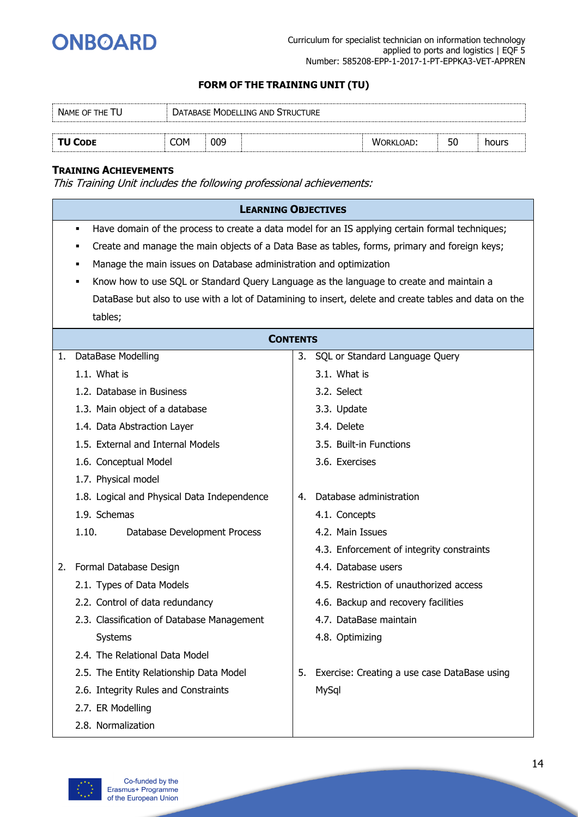

| NAME OF THE TU |      |     | DATABASE MODELLING AND STRUCTURE |                  |    |       |  |
|----------------|------|-----|----------------------------------|------------------|----|-------|--|
|                |      |     |                                  |                  |    |       |  |
| <b>TU CODE</b> | COM: | 009 |                                  | <b>WORKLOAD:</b> | 50 | hours |  |

#### **TRAINING ACHIEVEMENTS**

|    | <b>LEARNING OBJECTIVES</b>                                                                           |    |                                                                                                       |  |  |  |  |  |  |  |
|----|------------------------------------------------------------------------------------------------------|----|-------------------------------------------------------------------------------------------------------|--|--|--|--|--|--|--|
|    | Have domain of the process to create a data model for an IS applying certain formal techniques;<br>٠ |    |                                                                                                       |  |  |  |  |  |  |  |
|    | Create and manage the main objects of a Data Base as tables, forms, primary and foreign keys;        |    |                                                                                                       |  |  |  |  |  |  |  |
|    | Manage the main issues on Database administration and optimization<br>٠                              |    |                                                                                                       |  |  |  |  |  |  |  |
|    | Know how to use SQL or Standard Query Language as the language to create and maintain a<br>٠         |    |                                                                                                       |  |  |  |  |  |  |  |
|    |                                                                                                      |    | DataBase but also to use with a lot of Datamining to insert, delete and create tables and data on the |  |  |  |  |  |  |  |
|    | tables;                                                                                              |    |                                                                                                       |  |  |  |  |  |  |  |
|    | <b>CONTENTS</b>                                                                                      |    |                                                                                                       |  |  |  |  |  |  |  |
| 1. | DataBase Modelling                                                                                   |    | 3. SQL or Standard Language Query                                                                     |  |  |  |  |  |  |  |
|    | 1.1. What is                                                                                         |    | 3.1. What is                                                                                          |  |  |  |  |  |  |  |
|    | 1.2. Database in Business                                                                            |    | 3.2. Select                                                                                           |  |  |  |  |  |  |  |
|    | 1.3. Main object of a database                                                                       |    | 3.3. Update                                                                                           |  |  |  |  |  |  |  |
|    | 1.4. Data Abstraction Layer                                                                          |    | 3.4. Delete                                                                                           |  |  |  |  |  |  |  |
|    | 1.5. External and Internal Models                                                                    |    | 3.5. Built-in Functions                                                                               |  |  |  |  |  |  |  |
|    | 1.6. Conceptual Model                                                                                |    | 3.6. Exercises                                                                                        |  |  |  |  |  |  |  |
|    | 1.7. Physical model                                                                                  |    |                                                                                                       |  |  |  |  |  |  |  |
|    | 1.8. Logical and Physical Data Independence                                                          | 4. | Database administration                                                                               |  |  |  |  |  |  |  |
|    | 1.9. Schemas                                                                                         |    | 4.1. Concepts                                                                                         |  |  |  |  |  |  |  |
|    | 1.10.<br>Database Development Process                                                                |    | 4.2. Main Issues                                                                                      |  |  |  |  |  |  |  |
|    |                                                                                                      |    | 4.3. Enforcement of integrity constraints                                                             |  |  |  |  |  |  |  |
| 2. | Formal Database Design                                                                               |    | 4.4. Database users                                                                                   |  |  |  |  |  |  |  |
|    | 2.1. Types of Data Models                                                                            |    | 4.5. Restriction of unauthorized access                                                               |  |  |  |  |  |  |  |
|    | 2.2. Control of data redundancy                                                                      |    | 4.6. Backup and recovery facilities                                                                   |  |  |  |  |  |  |  |
|    | 2.3. Classification of Database Management                                                           |    | 4.7. DataBase maintain                                                                                |  |  |  |  |  |  |  |
|    | Systems                                                                                              |    | 4.8. Optimizing                                                                                       |  |  |  |  |  |  |  |
|    | 2.4. The Relational Data Model                                                                       |    |                                                                                                       |  |  |  |  |  |  |  |
|    | 2.5. The Entity Relationship Data Model                                                              | 5. | Exercise: Creating a use case DataBase using                                                          |  |  |  |  |  |  |  |
|    | 2.6. Integrity Rules and Constraints                                                                 |    | MySql                                                                                                 |  |  |  |  |  |  |  |
|    | 2.7. ER Modelling                                                                                    |    |                                                                                                       |  |  |  |  |  |  |  |
|    | 2.8. Normalization                                                                                   |    |                                                                                                       |  |  |  |  |  |  |  |

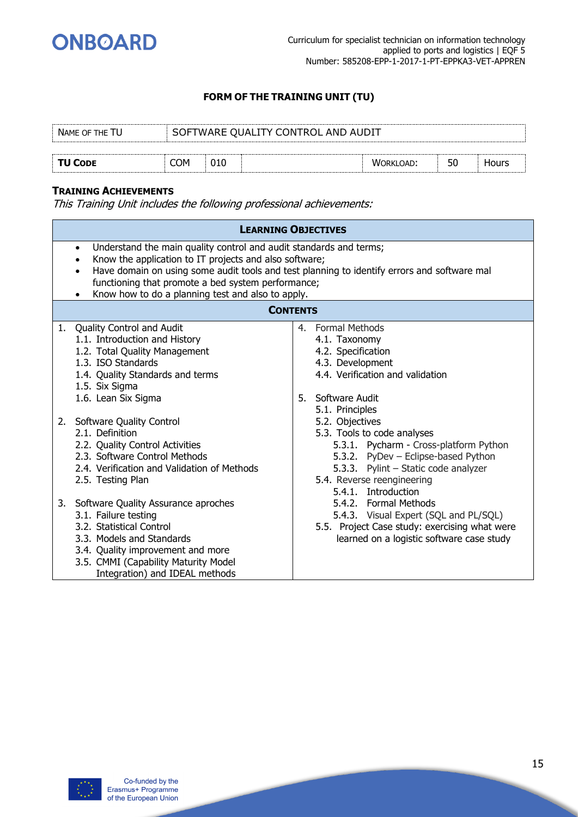

| NAME OF THE TU | SOFTWARE QUALITY CONTROL AND AUDIT |     |  |                  |    |       |  |  |
|----------------|------------------------------------|-----|--|------------------|----|-------|--|--|
|                |                                    |     |  |                  |    |       |  |  |
| <b>TU CODE</b> | COM                                | 010 |  | <b>WORKLOAD:</b> | 50 | Hours |  |  |

#### **TRAINING ACHIEVEMENTS**

|    | <b>LEARNING OBJECTIVES</b>                                                                                                                                                                                                                                                                                                                                       |    |                                                                                                                                                                                                                              |  |  |  |  |
|----|------------------------------------------------------------------------------------------------------------------------------------------------------------------------------------------------------------------------------------------------------------------------------------------------------------------------------------------------------------------|----|------------------------------------------------------------------------------------------------------------------------------------------------------------------------------------------------------------------------------|--|--|--|--|
|    | Understand the main quality control and audit standards and terms;<br>$\bullet$<br>Know the application to IT projects and also software;<br>Have domain on using some audit tools and test planning to identify errors and software mal<br>$\bullet$<br>functioning that promote a bed system performance;<br>Know how to do a planning test and also to apply. |    |                                                                                                                                                                                                                              |  |  |  |  |
|    | <b>CONTENTS</b>                                                                                                                                                                                                                                                                                                                                                  |    |                                                                                                                                                                                                                              |  |  |  |  |
| 1. | Quality Control and Audit<br>1.1. Introduction and History<br>1.2. Total Quality Management<br>1.3. ISO Standards<br>1.4. Quality Standards and terms<br>1.5. Six Sigma<br>1.6. Lean Six Sigma                                                                                                                                                                   | 5. | 4. Formal Methods<br>4.1. Taxonomy<br>4.2. Specification<br>4.3. Development<br>4.4. Verification and validation<br>Software Audit<br>5.1. Principles                                                                        |  |  |  |  |
|    | 2. Software Quality Control<br>2.1. Definition<br>2.2. Quality Control Activities<br>2.3. Software Control Methods<br>2.4. Verification and Validation of Methods<br>2.5. Testing Plan                                                                                                                                                                           |    | 5.2. Objectives<br>5.3. Tools to code analyses<br>5.3.1. Pycharm - Cross-platform Python<br>5.3.2. PyDev - Eclipse-based Python<br>5.3.3. Pylint - Static code analyzer<br>5.4. Reverse reengineering<br>5.4.1. Introduction |  |  |  |  |
|    | 3. Software Quality Assurance aproches<br>3.1. Failure testing<br>3.2. Statistical Control<br>3.3. Models and Standards<br>3.4. Quality improvement and more<br>3.5. CMMI (Capability Maturity Model<br>Integration) and IDEAL methods                                                                                                                           |    | 5.4.2. Formal Methods<br>5.4.3. Visual Expert (SQL and PL/SQL)<br>5.5. Project Case study: exercising what were<br>learned on a logistic software case study                                                                 |  |  |  |  |

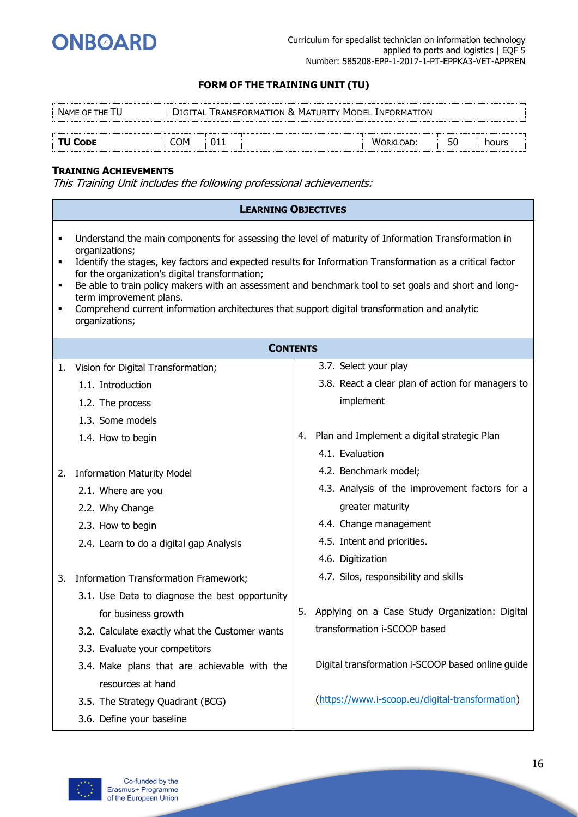

| NAME OF THE TU |     | DIGITAL TRANSFORMATION & MATURITY MODEL INFORMATION |           |    |       |
|----------------|-----|-----------------------------------------------------|-----------|----|-------|
|                |     |                                                     |           |    |       |
| <b>TU CODE</b> | COM |                                                     | WORKLOAD: | 50 | hours |

#### **TRAINING ACHIEVEMENTS**

|                                                                                                                                                                                                                                                                                                                                                                                                                                                                                                                                                                 | <b>LEARNING OBJECTIVES</b>                     |    |                                                   |  |  |  |  |
|-----------------------------------------------------------------------------------------------------------------------------------------------------------------------------------------------------------------------------------------------------------------------------------------------------------------------------------------------------------------------------------------------------------------------------------------------------------------------------------------------------------------------------------------------------------------|------------------------------------------------|----|---------------------------------------------------|--|--|--|--|
| Understand the main components for assessing the level of maturity of Information Transformation in<br>٠<br>organizations;<br>Identify the stages, key factors and expected results for Information Transformation as a critical factor<br>٠<br>for the organization's digital transformation;<br>Be able to train policy makers with an assessment and benchmark tool to set goals and short and long-<br>٠<br>term improvement plans.<br>Comprehend current information architectures that support digital transformation and analytic<br>٠<br>organizations; |                                                |    |                                                   |  |  |  |  |
|                                                                                                                                                                                                                                                                                                                                                                                                                                                                                                                                                                 | <b>CONTENTS</b>                                |    |                                                   |  |  |  |  |
| 1.                                                                                                                                                                                                                                                                                                                                                                                                                                                                                                                                                              | Vision for Digital Transformation;             |    | 3.7. Select your play                             |  |  |  |  |
|                                                                                                                                                                                                                                                                                                                                                                                                                                                                                                                                                                 | 1.1. Introduction                              |    | 3.8. React a clear plan of action for managers to |  |  |  |  |
|                                                                                                                                                                                                                                                                                                                                                                                                                                                                                                                                                                 | 1.2. The process                               |    | implement                                         |  |  |  |  |
|                                                                                                                                                                                                                                                                                                                                                                                                                                                                                                                                                                 | 1.3. Some models                               |    |                                                   |  |  |  |  |
|                                                                                                                                                                                                                                                                                                                                                                                                                                                                                                                                                                 | 1.4. How to begin                              | 4. | Plan and Implement a digital strategic Plan       |  |  |  |  |
|                                                                                                                                                                                                                                                                                                                                                                                                                                                                                                                                                                 |                                                |    | 4.1. Evaluation                                   |  |  |  |  |
| 2.                                                                                                                                                                                                                                                                                                                                                                                                                                                                                                                                                              | <b>Information Maturity Model</b>              |    | 4.2. Benchmark model;                             |  |  |  |  |
|                                                                                                                                                                                                                                                                                                                                                                                                                                                                                                                                                                 | 2.1. Where are you                             |    | 4.3. Analysis of the improvement factors for a    |  |  |  |  |
|                                                                                                                                                                                                                                                                                                                                                                                                                                                                                                                                                                 | 2.2. Why Change                                |    | greater maturity                                  |  |  |  |  |
|                                                                                                                                                                                                                                                                                                                                                                                                                                                                                                                                                                 | 2.3. How to begin                              |    | 4.4. Change management                            |  |  |  |  |
|                                                                                                                                                                                                                                                                                                                                                                                                                                                                                                                                                                 | 2.4. Learn to do a digital gap Analysis        |    | 4.5. Intent and priorities.                       |  |  |  |  |
|                                                                                                                                                                                                                                                                                                                                                                                                                                                                                                                                                                 |                                                |    | 4.6. Digitization                                 |  |  |  |  |
| 3.                                                                                                                                                                                                                                                                                                                                                                                                                                                                                                                                                              | Information Transformation Framework;          |    | 4.7. Silos, responsibility and skills             |  |  |  |  |
|                                                                                                                                                                                                                                                                                                                                                                                                                                                                                                                                                                 | 3.1. Use Data to diagnose the best opportunity |    |                                                   |  |  |  |  |
|                                                                                                                                                                                                                                                                                                                                                                                                                                                                                                                                                                 | for business growth                            | 5. | Applying on a Case Study Organization: Digital    |  |  |  |  |
|                                                                                                                                                                                                                                                                                                                                                                                                                                                                                                                                                                 | 3.2. Calculate exactly what the Customer wants |    | transformation i-SCOOP based                      |  |  |  |  |
|                                                                                                                                                                                                                                                                                                                                                                                                                                                                                                                                                                 | 3.3. Evaluate your competitors                 |    |                                                   |  |  |  |  |
|                                                                                                                                                                                                                                                                                                                                                                                                                                                                                                                                                                 | 3.4. Make plans that are achievable with the   |    | Digital transformation i-SCOOP based online guide |  |  |  |  |
|                                                                                                                                                                                                                                                                                                                                                                                                                                                                                                                                                                 | resources at hand                              |    |                                                   |  |  |  |  |
|                                                                                                                                                                                                                                                                                                                                                                                                                                                                                                                                                                 | 3.5. The Strategy Quadrant (BCG)               |    | (https://www.i-scoop.eu/digital-transformation)   |  |  |  |  |
|                                                                                                                                                                                                                                                                                                                                                                                                                                                                                                                                                                 | 3.6. Define your baseline                      |    |                                                   |  |  |  |  |

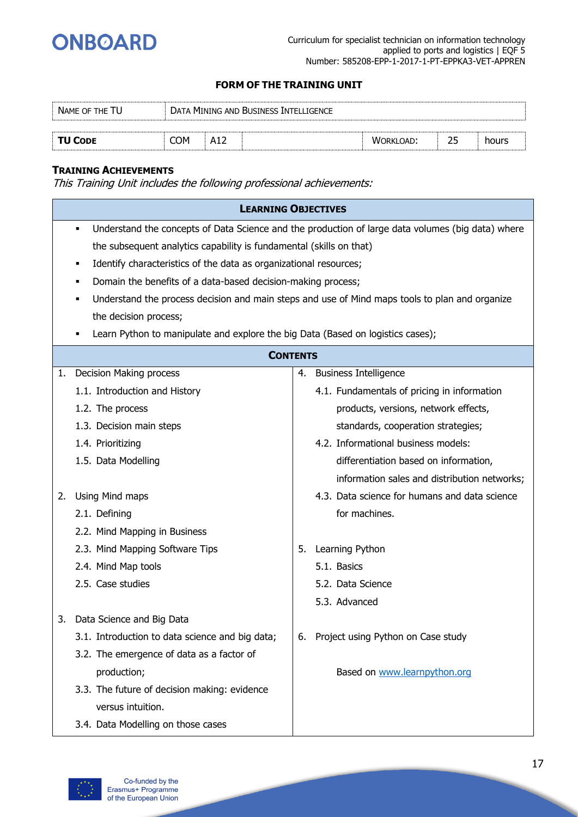

| DATA MINING AND BUSINESS INTELLIGENCE<br>NAME OF THE TU |     |                   |  |                  |    |       |
|---------------------------------------------------------|-----|-------------------|--|------------------|----|-------|
| <b>TU CODE</b>                                          | COM | A1 $\overline{ }$ |  | <b>WORKLOAD:</b> |    |       |
|                                                         |     |                   |  |                  | 25 | hours |

#### **TRAINING ACHIEVEMENTS**

|    | <b>LEARNING OBJECTIVES</b>                                                                     |    |                                                                                                   |  |  |  |  |  |
|----|------------------------------------------------------------------------------------------------|----|---------------------------------------------------------------------------------------------------|--|--|--|--|--|
|    | $\blacksquare$                                                                                 |    | Understand the concepts of Data Science and the production of large data volumes (big data) where |  |  |  |  |  |
|    | the subsequent analytics capability is fundamental (skills on that)                            |    |                                                                                                   |  |  |  |  |  |
|    | Identify characteristics of the data as organizational resources;                              |    |                                                                                                   |  |  |  |  |  |
|    | Domain the benefits of a data-based decision-making process;                                   |    |                                                                                                   |  |  |  |  |  |
|    | Understand the process decision and main steps and use of Mind maps tools to plan and organize |    |                                                                                                   |  |  |  |  |  |
|    | the decision process;                                                                          |    |                                                                                                   |  |  |  |  |  |
|    | Learn Python to manipulate and explore the big Data (Based on logistics cases);                |    |                                                                                                   |  |  |  |  |  |
|    | <b>CONTENTS</b>                                                                                |    |                                                                                                   |  |  |  |  |  |
| 1. | Decision Making process                                                                        |    | 4. Business Intelligence                                                                          |  |  |  |  |  |
|    | 1.1. Introduction and History                                                                  |    | 4.1. Fundamentals of pricing in information                                                       |  |  |  |  |  |
|    | 1.2. The process                                                                               |    | products, versions, network effects,                                                              |  |  |  |  |  |
|    | 1.3. Decision main steps                                                                       |    | standards, cooperation strategies;                                                                |  |  |  |  |  |
|    | 1.4. Prioritizing                                                                              |    | 4.2. Informational business models:                                                               |  |  |  |  |  |
|    | 1.5. Data Modelling                                                                            |    | differentiation based on information,                                                             |  |  |  |  |  |
|    |                                                                                                |    | information sales and distribution networks;                                                      |  |  |  |  |  |
| 2. | Using Mind maps                                                                                |    | 4.3. Data science for humans and data science                                                     |  |  |  |  |  |
|    | 2.1. Defining                                                                                  |    | for machines.                                                                                     |  |  |  |  |  |
|    | 2.2. Mind Mapping in Business                                                                  |    |                                                                                                   |  |  |  |  |  |
|    | 2.3. Mind Mapping Software Tips                                                                | 5. | Learning Python                                                                                   |  |  |  |  |  |
|    | 2.4. Mind Map tools                                                                            |    | 5.1. Basics                                                                                       |  |  |  |  |  |
|    | 2.5. Case studies                                                                              |    | 5.2. Data Science                                                                                 |  |  |  |  |  |
|    |                                                                                                |    | 5.3. Advanced                                                                                     |  |  |  |  |  |
| 3. | Data Science and Big Data                                                                      |    |                                                                                                   |  |  |  |  |  |
|    | 3.1. Introduction to data science and big data;                                                | 6. | Project using Python on Case study                                                                |  |  |  |  |  |
|    | 3.2. The emergence of data as a factor of                                                      |    |                                                                                                   |  |  |  |  |  |
|    | production;                                                                                    |    | Based on www.learnpython.org                                                                      |  |  |  |  |  |
|    | 3.3. The future of decision making: evidence                                                   |    |                                                                                                   |  |  |  |  |  |
|    | versus intuition.                                                                              |    |                                                                                                   |  |  |  |  |  |
|    | 3.4. Data Modelling on those cases                                                             |    |                                                                                                   |  |  |  |  |  |

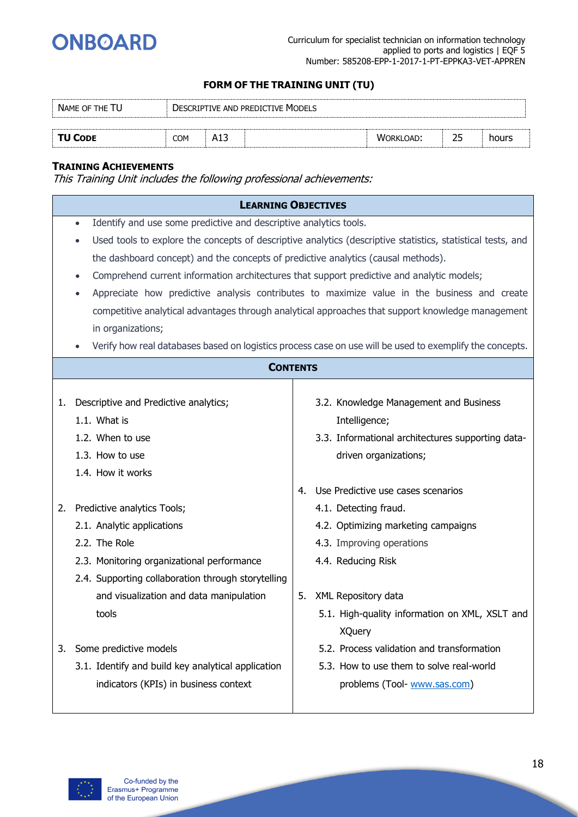

| NAME OF THE TU<br><b>DESCRIPTIVE AND PREDICTIVE MODELS</b> |     |     |  |           |    |       |
|------------------------------------------------------------|-----|-----|--|-----------|----|-------|
|                                                            |     |     |  |           |    |       |
| <b>TU CODE</b>                                             | COM | A13 |  | WORKLOAD: | 25 | hours |

#### **TRAINING ACHIEVEMENTS**

|    | <b>LEARNING OBJECTIVES</b>                                                                     |    |                                                                                                             |  |  |  |
|----|------------------------------------------------------------------------------------------------|----|-------------------------------------------------------------------------------------------------------------|--|--|--|
|    | Identify and use some predictive and descriptive analytics tools.<br>$\bullet$                 |    |                                                                                                             |  |  |  |
|    | $\bullet$                                                                                      |    | Used tools to explore the concepts of descriptive analytics (descriptive statistics, statistical tests, and |  |  |  |
|    | the dashboard concept) and the concepts of predictive analytics (causal methods).              |    |                                                                                                             |  |  |  |
|    | Comprehend current information architectures that support predictive and analytic models;<br>٠ |    |                                                                                                             |  |  |  |
|    |                                                                                                |    | Appreciate how predictive analysis contributes to maximize value in the business and create                 |  |  |  |
|    |                                                                                                |    | competitive analytical advantages through analytical approaches that support knowledge management           |  |  |  |
|    | in organizations;                                                                              |    |                                                                                                             |  |  |  |
|    |                                                                                                |    | Verify how real databases based on logistics process case on use will be used to exemplify the concepts.    |  |  |  |
|    | <b>CONTENTS</b>                                                                                |    |                                                                                                             |  |  |  |
|    |                                                                                                |    |                                                                                                             |  |  |  |
| 1. | Descriptive and Predictive analytics;                                                          |    | 3.2. Knowledge Management and Business                                                                      |  |  |  |
|    | 1.1. What is                                                                                   |    | Intelligence;                                                                                               |  |  |  |
|    | 1.2. When to use                                                                               |    | 3.3. Informational architectures supporting data-                                                           |  |  |  |
|    | 1.3. How to use                                                                                |    | driven organizations;                                                                                       |  |  |  |
|    | 1.4. How it works                                                                              |    |                                                                                                             |  |  |  |
|    |                                                                                                | 4. | Use Predictive use cases scenarios                                                                          |  |  |  |
| 2. | Predictive analytics Tools;                                                                    |    | 4.1. Detecting fraud.                                                                                       |  |  |  |
|    | 2.1. Analytic applications                                                                     |    | 4.2. Optimizing marketing campaigns                                                                         |  |  |  |
|    | 2.2. The Role                                                                                  |    | 4.3. Improving operations                                                                                   |  |  |  |
|    | 2.3. Monitoring organizational performance                                                     |    | 4.4. Reducing Risk                                                                                          |  |  |  |
|    | 2.4. Supporting collaboration through storytelling                                             |    |                                                                                                             |  |  |  |
|    | and visualization and data manipulation                                                        | 5. | XML Repository data                                                                                         |  |  |  |
|    | tools                                                                                          |    | 5.1. High-quality information on XML, XSLT and                                                              |  |  |  |
|    |                                                                                                |    | <b>XQuery</b>                                                                                               |  |  |  |
| 3. | Some predictive models                                                                         |    | 5.2. Process validation and transformation                                                                  |  |  |  |
|    | 3.1. Identify and build key analytical application                                             |    | 5.3. How to use them to solve real-world                                                                    |  |  |  |
|    | indicators (KPIs) in business context                                                          |    | problems (Tool- www.sas.com)                                                                                |  |  |  |
|    |                                                                                                |    |                                                                                                             |  |  |  |

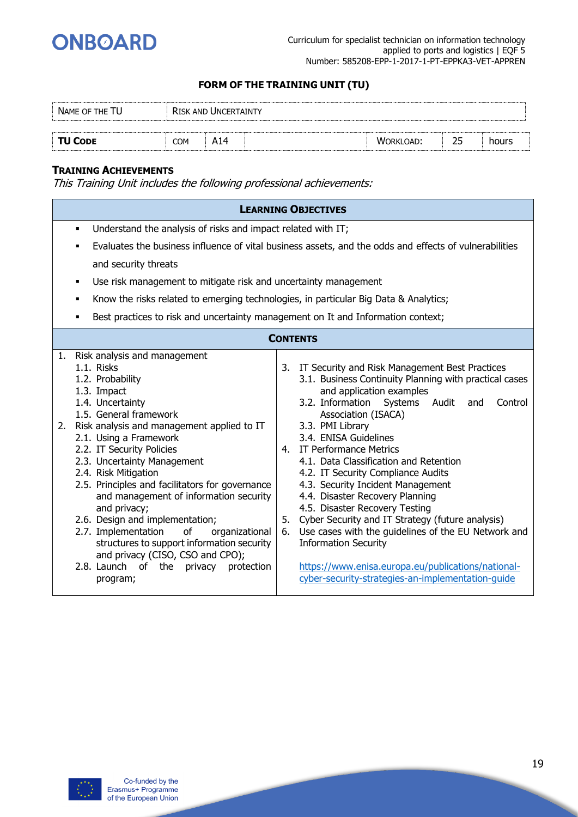

| NAME OF THE TU |            |     |  |           |    |       |
|----------------|------------|-----|--|-----------|----|-------|
|                |            |     |  |           |    |       |
| <b>TU CODE</b> | <b>COM</b> | A14 |  | WORKLOAD: | 25 | hours |

#### **TRAINING ACHIEVEMENTS**

|                                                                                                                                                                                                                                                                                                                                                                                                                                                                                                                                                                                                                                              | <b>LEARNING OBJECTIVES</b>                                                                                                                                                                                                                                                                                                                                                                                                                                                                                                                                                                                                                                                                                                                                    |  |  |  |  |  |  |  |
|----------------------------------------------------------------------------------------------------------------------------------------------------------------------------------------------------------------------------------------------------------------------------------------------------------------------------------------------------------------------------------------------------------------------------------------------------------------------------------------------------------------------------------------------------------------------------------------------------------------------------------------------|---------------------------------------------------------------------------------------------------------------------------------------------------------------------------------------------------------------------------------------------------------------------------------------------------------------------------------------------------------------------------------------------------------------------------------------------------------------------------------------------------------------------------------------------------------------------------------------------------------------------------------------------------------------------------------------------------------------------------------------------------------------|--|--|--|--|--|--|--|
| ٠                                                                                                                                                                                                                                                                                                                                                                                                                                                                                                                                                                                                                                            | Understand the analysis of risks and impact related with IT;                                                                                                                                                                                                                                                                                                                                                                                                                                                                                                                                                                                                                                                                                                  |  |  |  |  |  |  |  |
| ٠                                                                                                                                                                                                                                                                                                                                                                                                                                                                                                                                                                                                                                            | Evaluates the business influence of vital business assets, and the odds and effects of vulnerabilities                                                                                                                                                                                                                                                                                                                                                                                                                                                                                                                                                                                                                                                        |  |  |  |  |  |  |  |
| and security threats                                                                                                                                                                                                                                                                                                                                                                                                                                                                                                                                                                                                                         |                                                                                                                                                                                                                                                                                                                                                                                                                                                                                                                                                                                                                                                                                                                                                               |  |  |  |  |  |  |  |
| Use risk management to mitigate risk and uncertainty management<br>٠                                                                                                                                                                                                                                                                                                                                                                                                                                                                                                                                                                         |                                                                                                                                                                                                                                                                                                                                                                                                                                                                                                                                                                                                                                                                                                                                                               |  |  |  |  |  |  |  |
| Know the risks related to emerging technologies, in particular Big Data & Analytics;<br>٠                                                                                                                                                                                                                                                                                                                                                                                                                                                                                                                                                    |                                                                                                                                                                                                                                                                                                                                                                                                                                                                                                                                                                                                                                                                                                                                                               |  |  |  |  |  |  |  |
| Best practices to risk and uncertainty management on It and Information context;                                                                                                                                                                                                                                                                                                                                                                                                                                                                                                                                                             |                                                                                                                                                                                                                                                                                                                                                                                                                                                                                                                                                                                                                                                                                                                                                               |  |  |  |  |  |  |  |
|                                                                                                                                                                                                                                                                                                                                                                                                                                                                                                                                                                                                                                              | <b>CONTENTS</b>                                                                                                                                                                                                                                                                                                                                                                                                                                                                                                                                                                                                                                                                                                                                               |  |  |  |  |  |  |  |
|                                                                                                                                                                                                                                                                                                                                                                                                                                                                                                                                                                                                                                              |                                                                                                                                                                                                                                                                                                                                                                                                                                                                                                                                                                                                                                                                                                                                                               |  |  |  |  |  |  |  |
| 1. Risk analysis and management<br>1.1. Risks<br>1.2. Probability<br>1.3. Impact<br>1.4. Uncertainty<br>1.5. General framework<br>2. Risk analysis and management applied to IT<br>2.1. Using a Framework<br>2.2. IT Security Policies<br>2.3. Uncertainty Management<br>2.4. Risk Mitigation<br>2.5. Principles and facilitators for governance<br>and management of information security<br>and privacy;<br>2.6. Design and implementation;<br>2.7. Implementation<br>of<br>organizational<br>structures to support information security<br>and privacy (CISO, CSO and CPO);<br>the<br>2.8. Launch of<br>privacy<br>protection<br>program; | 3. IT Security and Risk Management Best Practices<br>3.1. Business Continuity Planning with practical cases<br>and application examples<br>3.2. Information<br>Systems<br>Control<br>Audit<br>and<br>Association (ISACA)<br>3.3. PMI Library<br>3.4. ENISA Guidelines<br>4. IT Performance Metrics<br>4.1. Data Classification and Retention<br>4.2. IT Security Compliance Audits<br>4.3. Security Incident Management<br>4.4. Disaster Recovery Planning<br>4.5. Disaster Recovery Testing<br>Cyber Security and IT Strategy (future analysis)<br>5.<br>Use cases with the guidelines of the EU Network and<br>6.<br><b>Information Security</b><br>https://www.enisa.europa.eu/publications/national-<br>cyber-security-strategies-an-implementation-guide |  |  |  |  |  |  |  |

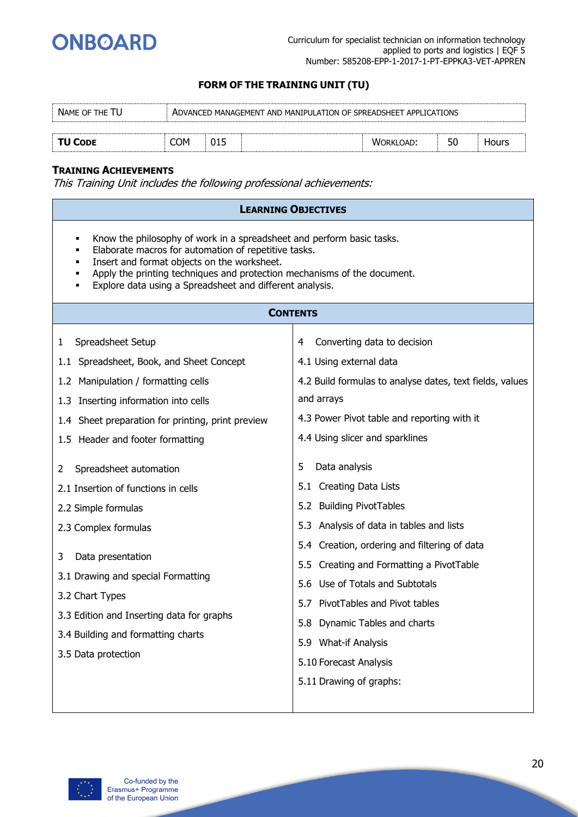

| NAME OF THE TU | ADVANCED MANAGEMENT AND MANIPULATION OF SPREADSHEET APPLICATIONS |  |  |           |    |       |
|----------------|------------------------------------------------------------------|--|--|-----------|----|-------|
|                |                                                                  |  |  |           |    |       |
| <b>TU CODE</b> | COM                                                              |  |  | WORKLOAD: | 50 | Hours |

#### **TRAINING ACHIEVEMENTS**

|                                                                                                                                                                                                                                                                                                                           | <b>LEARNING OBJECTIVES</b>                               |  |  |  |  |  |  |  |
|---------------------------------------------------------------------------------------------------------------------------------------------------------------------------------------------------------------------------------------------------------------------------------------------------------------------------|----------------------------------------------------------|--|--|--|--|--|--|--|
| Know the philosophy of work in a spreadsheet and perform basic tasks.<br>٠<br>Elaborate macros for automation of repetitive tasks.<br>Insert and format objects on the worksheet.<br>Apply the printing techniques and protection mechanisms of the document.<br>Explore data using a Spreadsheet and different analysis. |                                                          |  |  |  |  |  |  |  |
| <b>CONTENTS</b>                                                                                                                                                                                                                                                                                                           |                                                          |  |  |  |  |  |  |  |
| Spreadsheet Setup<br>$\mathbf{1}$                                                                                                                                                                                                                                                                                         | Converting data to decision<br>4                         |  |  |  |  |  |  |  |
| 1.1 Spreadsheet, Book, and Sheet Concept                                                                                                                                                                                                                                                                                  | 4.1 Using external data                                  |  |  |  |  |  |  |  |
| 1.2 Manipulation / formatting cells                                                                                                                                                                                                                                                                                       | 4.2 Build formulas to analyse dates, text fields, values |  |  |  |  |  |  |  |
| 1.3 Inserting information into cells                                                                                                                                                                                                                                                                                      | and arrays                                               |  |  |  |  |  |  |  |
| 1.4 Sheet preparation for printing, print preview                                                                                                                                                                                                                                                                         | 4.3 Power Pivot table and reporting with it              |  |  |  |  |  |  |  |
| 1.5 Header and footer formatting                                                                                                                                                                                                                                                                                          | 4.4 Using slicer and sparklines                          |  |  |  |  |  |  |  |
| Spreadsheet automation<br>2                                                                                                                                                                                                                                                                                               | Data analysis<br>5                                       |  |  |  |  |  |  |  |
| 2.1 Insertion of functions in cells                                                                                                                                                                                                                                                                                       | 5.1 Creating Data Lists                                  |  |  |  |  |  |  |  |
| 2.2 Simple formulas                                                                                                                                                                                                                                                                                                       | 5.2 Building PivotTables                                 |  |  |  |  |  |  |  |
| 2.3 Complex formulas                                                                                                                                                                                                                                                                                                      | 5.3 Analysis of data in tables and lists                 |  |  |  |  |  |  |  |
|                                                                                                                                                                                                                                                                                                                           | 5.4 Creation, ordering and filtering of data             |  |  |  |  |  |  |  |
| Data presentation<br>3                                                                                                                                                                                                                                                                                                    | 5.5 Creating and Formatting a PivotTable                 |  |  |  |  |  |  |  |
| 3.1 Drawing and special Formatting                                                                                                                                                                                                                                                                                        | 5.6 Use of Totals and Subtotals                          |  |  |  |  |  |  |  |
| 3.2 Chart Types                                                                                                                                                                                                                                                                                                           | 5.7 PivotTables and Pivot tables                         |  |  |  |  |  |  |  |
| 3.3 Edition and Inserting data for graphs                                                                                                                                                                                                                                                                                 | 5.8 Dynamic Tables and charts                            |  |  |  |  |  |  |  |
| 3.4 Building and formatting charts                                                                                                                                                                                                                                                                                        | 5.9 What-if Analysis                                     |  |  |  |  |  |  |  |
| 3.5 Data protection                                                                                                                                                                                                                                                                                                       | 5.10 Forecast Analysis                                   |  |  |  |  |  |  |  |
|                                                                                                                                                                                                                                                                                                                           | 5.11 Drawing of graphs:                                  |  |  |  |  |  |  |  |
|                                                                                                                                                                                                                                                                                                                           |                                                          |  |  |  |  |  |  |  |

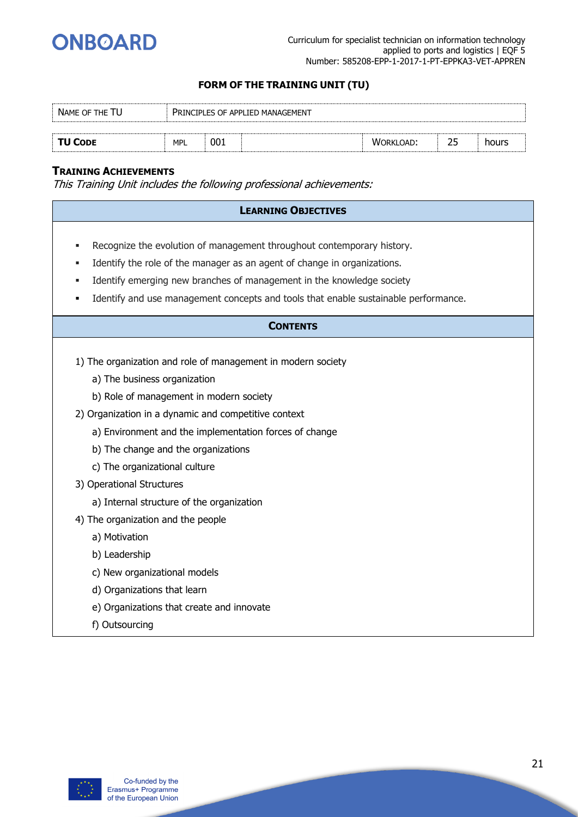

| NAME OF THE TU<br><b>PRINCIPLES OF APPLIED MANAGEMENT</b> |            |     |  |                  |           |       |  |  |
|-----------------------------------------------------------|------------|-----|--|------------------|-----------|-------|--|--|
|                                                           |            |     |  |                  |           |       |  |  |
| <b>TU CODE</b>                                            | <b>MPL</b> | 001 |  | <b>WORKLOAD:</b> | <u>__</u> | hours |  |  |

#### **TRAINING ACHIEVEMENTS**

This Training Unit includes the following professional achievements:

| <b>LEARNING OBJECTIVES</b>                                                                                                                                                                                                                                                                                         |
|--------------------------------------------------------------------------------------------------------------------------------------------------------------------------------------------------------------------------------------------------------------------------------------------------------------------|
| Recognize the evolution of management throughout contemporary history.<br>Identify the role of the manager as an agent of change in organizations.<br>Identify emerging new branches of management in the knowledge society<br>Identify and use management concepts and tools that enable sustainable performance. |
| <b>CONTENTS</b>                                                                                                                                                                                                                                                                                                    |
| 1) The organization and role of management in modern society<br>a) The business organization                                                                                                                                                                                                                       |
| b) Role of management in modern society<br>2) Organization in a dynamic and competitive context<br>a) Environment and the implementation forces of change<br>b) The change and the organizations                                                                                                                   |
| c) The organizational culture<br>3) Operational Structures<br>a) Internal structure of the organization                                                                                                                                                                                                            |
| 4) The organization and the people<br>a) Motivation<br>b) Leadership<br>c) New organizational models                                                                                                                                                                                                               |
| d) Organizations that learn<br>e) Organizations that create and innovate                                                                                                                                                                                                                                           |

f) Outsourcing

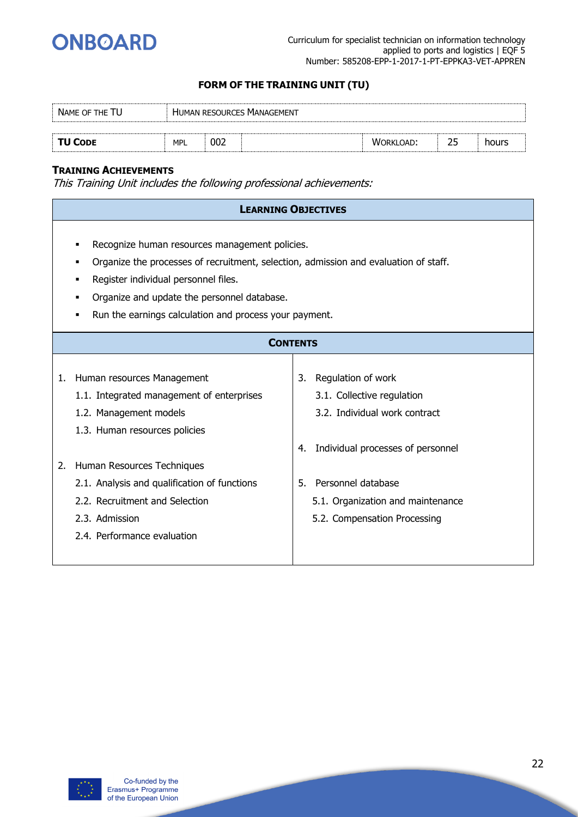

| NAME OF THE TU |            |     | <b>HUMAN RESOURCES MANAGEMENT</b> |                  |   |       |  |
|----------------|------------|-----|-----------------------------------|------------------|---|-------|--|
|                |            |     |                                   |                  |   |       |  |
| <b>TU CODE</b> | <b>MPL</b> | 002 |                                   | <b>WORKLOAD:</b> | ے | hours |  |

#### **TRAINING ACHIEVEMENTS**

| Organize the processes of recruitment, selection, admission and evaluation of staff.                                                                                                                              |
|-------------------------------------------------------------------------------------------------------------------------------------------------------------------------------------------------------------------|
|                                                                                                                                                                                                                   |
| Regulation of work<br>3.1. Collective regulation<br>3.2. Individual work contract<br>Individual processes of personnel<br>Personnel database<br>5.1. Organization and maintenance<br>5.2. Compensation Processing |
|                                                                                                                                                                                                                   |

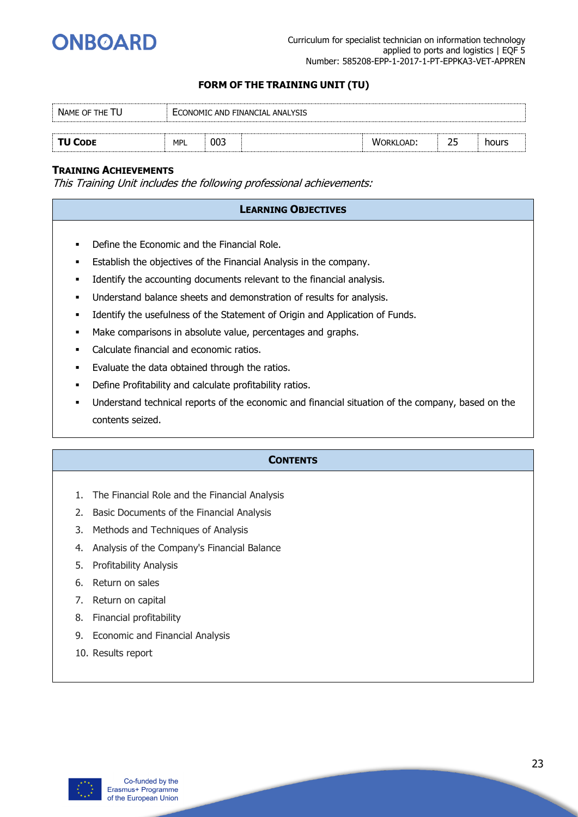

| NAME OF THE TU |            |     | ECONOMIC AND FINANCIAL ANALYSIS |                  |   |       |  |
|----------------|------------|-----|---------------------------------|------------------|---|-------|--|
|                |            |     |                                 |                  |   |       |  |
| <b>TU CODE</b> | <b>MPL</b> | 003 |                                 | <b>WORKLOAD:</b> | ے | hours |  |

#### **TRAINING ACHIEVEMENTS**

This Training Unit includes the following professional achievements:

#### **LEARNING OBJECTIVES**

- Define the Economic and the Financial Role.
- Establish the objectives of the Financial Analysis in the company.
- **■** Identify the accounting documents relevant to the financial analysis.
- **■** Understand balance sheets and demonstration of results for analysis.
- **■** Identify the usefulness of the Statement of Origin and Application of Funds.
- Make comparisons in absolute value, percentages and graphs.
- Calculate financial and economic ratios.
- **Evaluate the data obtained through the ratios.**
- Define Profitability and calculate profitability ratios.
- Understand technical reports of the economic and financial situation of the company, based on the contents seized.

#### **CONTENTS**

- 1. The Financial Role and the Financial Analysis
- 2. Basic Documents of the Financial Analysis
- 3. Methods and Techniques of Analysis
- 4. Analysis of the Company's Financial Balance
- 5. Profitability Analysis
- 6. Return on sales
- 7. Return on capital
- 8. Financial profitability
- 9. Economic and Financial Analysis
- 10. Results report

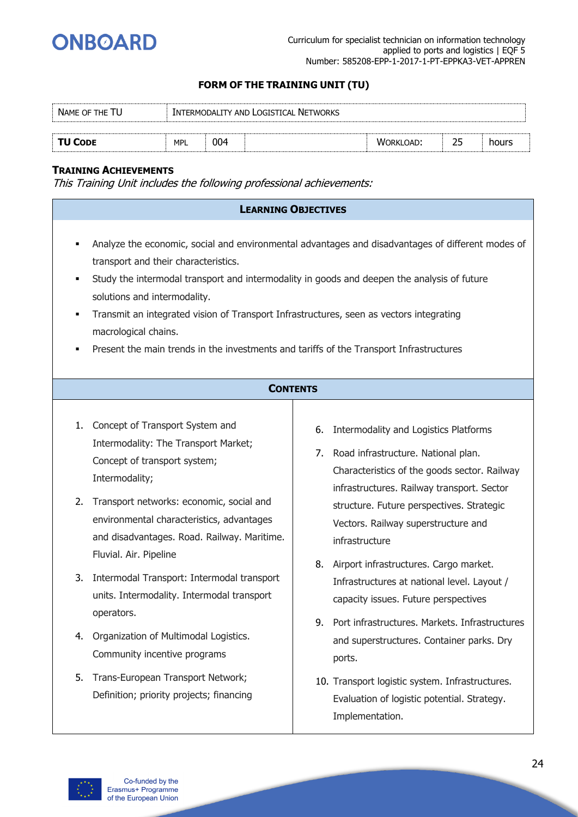

| NAME OF THE TU |            |     | INTERMODALITY AND LOGISTICAL NETWORKS |                  |       |
|----------------|------------|-----|---------------------------------------|------------------|-------|
|                |            |     |                                       |                  |       |
| <b>TU CODE</b> | <b>MPL</b> | 004 |                                       | <b>WORKLOAD:</b> | hours |

#### **TRAINING ACHIEVEMENTS**

|                                                                                                                                                                                                                                                                                                                                                                                                                                                                                                          | <b>LEARNING OBJECTIVES</b>                                                                                                                                                                                                                                                                |  |  |  |  |
|----------------------------------------------------------------------------------------------------------------------------------------------------------------------------------------------------------------------------------------------------------------------------------------------------------------------------------------------------------------------------------------------------------------------------------------------------------------------------------------------------------|-------------------------------------------------------------------------------------------------------------------------------------------------------------------------------------------------------------------------------------------------------------------------------------------|--|--|--|--|
| Analyze the economic, social and environmental advantages and disadvantages of different modes of<br>$\blacksquare$<br>transport and their characteristics.<br>Study the intermodal transport and intermodality in goods and deepen the analysis of future<br>solutions and intermodality.<br>Transmit an integrated vision of Transport Infrastructures, seen as vectors integrating<br>macrological chains.<br>Present the main trends in the investments and tariffs of the Transport Infrastructures |                                                                                                                                                                                                                                                                                           |  |  |  |  |
|                                                                                                                                                                                                                                                                                                                                                                                                                                                                                                          | <b>CONTENTS</b>                                                                                                                                                                                                                                                                           |  |  |  |  |
| 1.<br>Concept of Transport System and<br>Intermodality: The Transport Market;<br>Concept of transport system;<br>Intermodality;<br>Transport networks: economic, social and<br>2.<br>environmental characteristics, advantages<br>and disadvantages. Road. Railway. Maritime.<br>Fluvial. Air. Pipeline                                                                                                                                                                                                  | Intermodality and Logistics Platforms<br>6.<br>7. Road infrastructure. National plan.<br>Characteristics of the goods sector. Railway<br>infrastructures. Railway transport. Sector<br>structure. Future perspectives. Strategic<br>Vectors. Railway superstructure and<br>infrastructure |  |  |  |  |
| Intermodal Transport: Intermodal transport<br>3.<br>units. Intermodality. Intermodal transport<br>operators.                                                                                                                                                                                                                                                                                                                                                                                             | 8. Airport infrastructures. Cargo market.<br>Infrastructures at national level. Layout /<br>capacity issues. Future perspectives                                                                                                                                                          |  |  |  |  |
| Organization of Multimodal Logistics.<br>4.<br>Community incentive programs                                                                                                                                                                                                                                                                                                                                                                                                                              | Port infrastructures. Markets. Infrastructures<br>9.<br>and superstructures. Container parks. Dry<br>ports.                                                                                                                                                                               |  |  |  |  |
| Trans-European Transport Network;<br>5.<br>Definition; priority projects; financing                                                                                                                                                                                                                                                                                                                                                                                                                      | 10. Transport logistic system. Infrastructures.<br>Evaluation of logistic potential. Strategy.<br>Implementation.                                                                                                                                                                         |  |  |  |  |

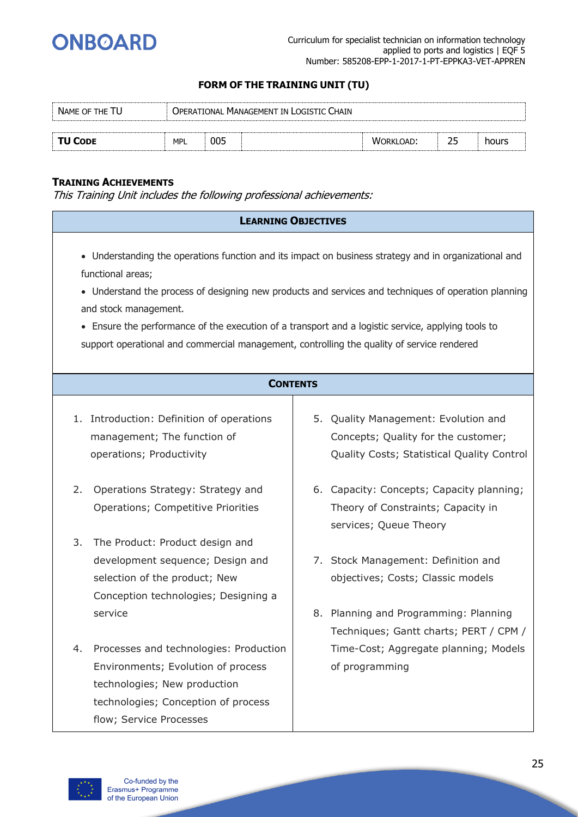

| NAME OF THE TU |            | <b>OPERATIONAL MANAGEMENT IN LOGISTIC CHAIN</b> |                  |       |
|----------------|------------|-------------------------------------------------|------------------|-------|
| <b>TU CODE</b> | <b>MPL</b> | 005                                             | <b>WORKLOAD:</b> | hours |

#### **TRAINING ACHIEVEMENTS**

| <b>LEARNING OBJECTIVES</b>                                                                                                                                                                                                                     |                                                                                                                                                                                                               |
|------------------------------------------------------------------------------------------------------------------------------------------------------------------------------------------------------------------------------------------------|---------------------------------------------------------------------------------------------------------------------------------------------------------------------------------------------------------------|
| functional areas;<br>and stock management.<br>• Ensure the performance of the execution of a transport and a logistic service, applying tools to<br>support operational and commercial management, controlling the quality of service rendered | • Understanding the operations function and its impact on business strategy and in organizational and<br>• Understand the process of designing new products and services and techniques of operation planning |
| <b>CONTENTS</b>                                                                                                                                                                                                                                |                                                                                                                                                                                                               |
| 1. Introduction: Definition of operations<br>management; The function of<br>operations; Productivity                                                                                                                                           | 5. Quality Management: Evolution and<br>Concepts; Quality for the customer;<br>Quality Costs; Statistical Quality Control                                                                                     |
| 2.<br>Operations Strategy: Strategy and<br>Operations; Competitive Priorities                                                                                                                                                                  | 6. Capacity: Concepts; Capacity planning;<br>Theory of Constraints; Capacity in<br>services; Queue Theory                                                                                                     |
| The Product: Product design and<br>3.<br>development sequence; Design and<br>selection of the product; New<br>Conception technologies; Designing a<br>service                                                                                  | 7. Stock Management: Definition and<br>objectives; Costs; Classic models<br>8. Planning and Programming: Planning                                                                                             |
| Processes and technologies: Production<br>4.<br>Environments; Evolution of process<br>technologies; New production<br>technologies; Conception of process<br>flow; Service Processes                                                           | Techniques; Gantt charts; PERT / CPM /<br>Time-Cost; Aggregate planning; Models<br>of programming                                                                                                             |

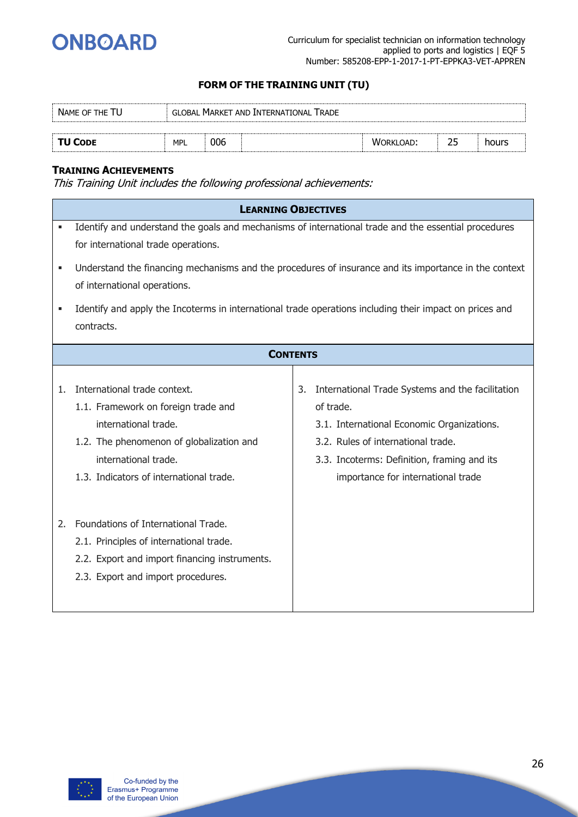

| NAME OF THE TU |            |     | GLOBAL MARKET AND INTERNATIONAL TRADE |           |       |  |
|----------------|------------|-----|---------------------------------------|-----------|-------|--|
|                |            |     |                                       |           |       |  |
| TU CODE        | <b>MPL</b> | 006 |                                       | WORKLOAD: | hours |  |

#### **TRAINING ACHIEVEMENTS**

|    | <b>LEARNING OBJECTIVES</b>                                                                              |    |                                                  |
|----|---------------------------------------------------------------------------------------------------------|----|--------------------------------------------------|
| ٠  | Identify and understand the goals and mechanisms of international trade and the essential procedures    |    |                                                  |
|    | for international trade operations.                                                                     |    |                                                  |
| ٠  | Understand the financing mechanisms and the procedures of insurance and its importance in the context   |    |                                                  |
|    | of international operations.                                                                            |    |                                                  |
| ٠  | Identify and apply the Incoterms in international trade operations including their impact on prices and |    |                                                  |
|    | contracts.                                                                                              |    |                                                  |
|    |                                                                                                         |    |                                                  |
|    | <b>CONTENTS</b>                                                                                         |    |                                                  |
|    |                                                                                                         |    |                                                  |
| 1. | International trade context.                                                                            | 3. | International Trade Systems and the facilitation |
|    | 1.1. Framework on foreign trade and                                                                     |    | of trade.                                        |
|    | international trade.                                                                                    |    | 3.1. International Economic Organizations.       |
|    | 1.2. The phenomenon of globalization and                                                                |    | 3.2. Rules of international trade.               |
|    | international trade.                                                                                    |    | 3.3. Incoterms: Definition, framing and its      |
|    | 1.3. Indicators of international trade.                                                                 |    | importance for international trade               |
|    |                                                                                                         |    |                                                  |
| 2. | Foundations of International Trade.                                                                     |    |                                                  |
|    |                                                                                                         |    |                                                  |
|    | 2.1. Principles of international trade.                                                                 |    |                                                  |
|    | 2.2. Export and import financing instruments.                                                           |    |                                                  |
|    | 2.3. Export and import procedures.                                                                      |    |                                                  |
|    |                                                                                                         |    |                                                  |

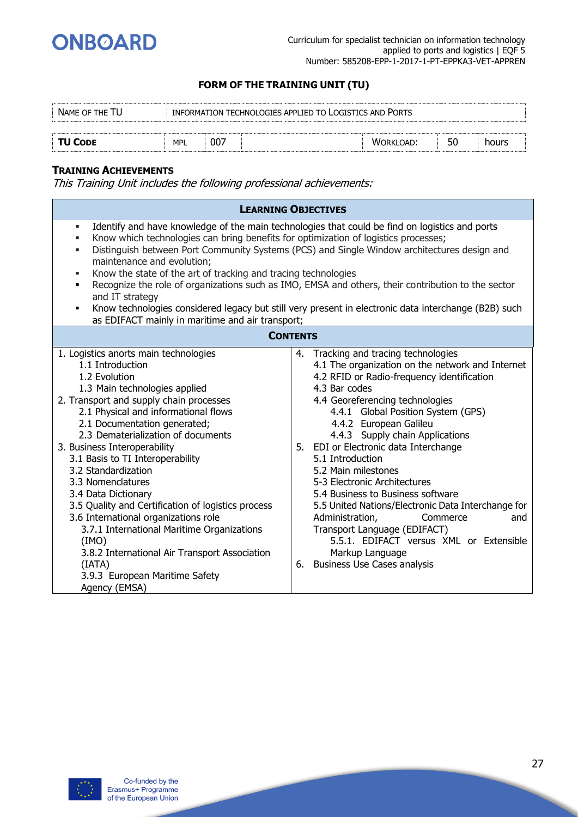

| NAME OF THE TU |     |     | INFORMATION TECHNOLOGIES APPLIED TO LOGISTICS AND PORTS |                  |    |       |
|----------------|-----|-----|---------------------------------------------------------|------------------|----|-------|
|                |     |     |                                                         |                  |    |       |
| <b>TU CODE</b> | MPL | 007 |                                                         | <b>WORKLOAD:</b> | 50 | hours |

#### **TRAINING ACHIEVEMENTS**

|                                                                                                                                                                                                                                                                                                                                                                                                                                                                                                                                                                                                                                                                                | <b>LEARNING OBJECTIVES</b>                                                                                                                                                                                                                                                                                                                                                                                                                                                                                                                                                                                                                                                         |
|--------------------------------------------------------------------------------------------------------------------------------------------------------------------------------------------------------------------------------------------------------------------------------------------------------------------------------------------------------------------------------------------------------------------------------------------------------------------------------------------------------------------------------------------------------------------------------------------------------------------------------------------------------------------------------|------------------------------------------------------------------------------------------------------------------------------------------------------------------------------------------------------------------------------------------------------------------------------------------------------------------------------------------------------------------------------------------------------------------------------------------------------------------------------------------------------------------------------------------------------------------------------------------------------------------------------------------------------------------------------------|
| ٠<br>Know which technologies can bring benefits for optimization of logistics processes;<br>٠<br>٠<br>maintenance and evolution;<br>Know the state of the art of tracking and tracing technologies<br>٠<br>٠<br>and IT strategy<br>٠<br>as EDIFACT mainly in maritime and air transport;                                                                                                                                                                                                                                                                                                                                                                                       | Identify and have knowledge of the main technologies that could be find on logistics and ports<br>Distinguish between Port Community Systems (PCS) and Single Window architectures design and<br>Recognize the role of organizations such as IMO, EMSA and others, their contribution to the sector<br>Know technologies considered legacy but still very present in electronic data interchange (B2B) such                                                                                                                                                                                                                                                                        |
|                                                                                                                                                                                                                                                                                                                                                                                                                                                                                                                                                                                                                                                                                | <b>CONTENTS</b>                                                                                                                                                                                                                                                                                                                                                                                                                                                                                                                                                                                                                                                                    |
| 1. Logistics anorts main technologies<br>1.1 Introduction<br>1.2 Evolution<br>1.3 Main technologies applied<br>2. Transport and supply chain processes<br>2.1 Physical and informational flows<br>2.1 Documentation generated;<br>2.3 Dematerialization of documents<br>3. Business Interoperability<br>3.1 Basis to TI Interoperability<br>3.2 Standardization<br>3.3 Nomenclatures<br>3.4 Data Dictionary<br>3.5 Quality and Certification of logistics process<br>3.6 International organizations role<br>3.7.1 International Maritime Organizations<br>(IMO)<br>3.8.2 International Air Transport Association<br>(IATA)<br>3.9.3 European Maritime Safety<br>Agency (EMSA) | 4. Tracking and tracing technologies<br>4.1 The organization on the network and Internet<br>4.2 RFID or Radio-frequency identification<br>4.3 Bar codes<br>4.4 Georeferencing technologies<br>4.4.1 Global Position System (GPS)<br>4.4.2 European Galileu<br>4.4.3 Supply chain Applications<br>5. EDI or Electronic data Interchange<br>5.1 Introduction<br>5.2 Main milestones<br>5-3 Electronic Architectures<br>5.4 Business to Business software<br>5.5 United Nations/Electronic Data Interchange for<br>Administration,<br>Commerce<br>and<br>Transport Language (EDIFACT)<br>5.5.1. EDIFACT versus XML or Extensible<br>Markup Language<br>6. Business Use Cases analysis |

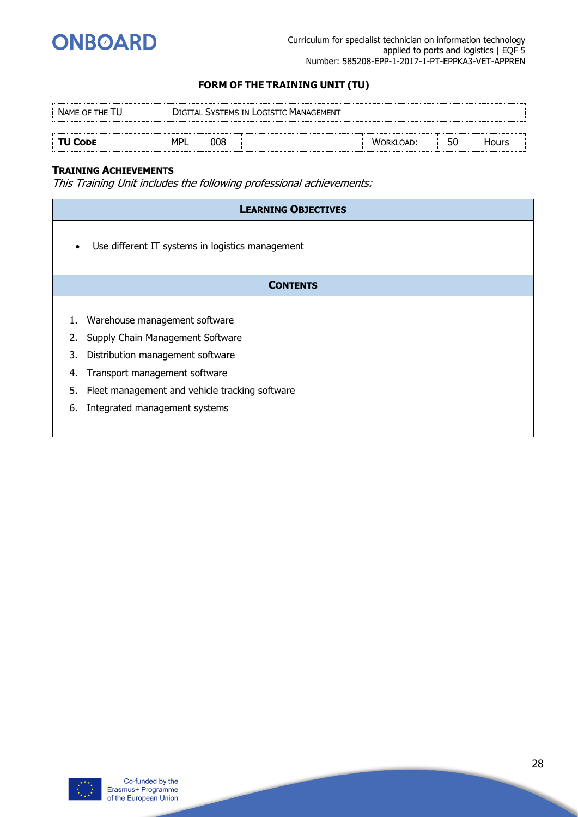

| NAME OF THE TU |            |     | DIGITAL SYSTEMS IN LOGISTIC MANAGEMENT |                  |    |       |  |
|----------------|------------|-----|----------------------------------------|------------------|----|-------|--|
|                |            |     |                                        |                  |    |       |  |
| <b>TU CODE</b> | <b>MPL</b> | 008 |                                        | <b>WORKLOAD:</b> | 50 | Hours |  |

#### **TRAINING ACHIEVEMENTS**

|           | <b>LEARNING OBJECTIVES</b>                       |
|-----------|--------------------------------------------------|
| $\bullet$ | Use different IT systems in logistics management |
|           | <b>CONTENTS</b>                                  |
|           |                                                  |
|           | Warehouse management software                    |
| 2.        | Supply Chain Management Software                 |
| 3.        | Distribution management software                 |
| 4.        | Transport management software                    |
| 5.        | Fleet management and vehicle tracking software   |
| 6.        | Integrated management systems                    |
|           |                                                  |

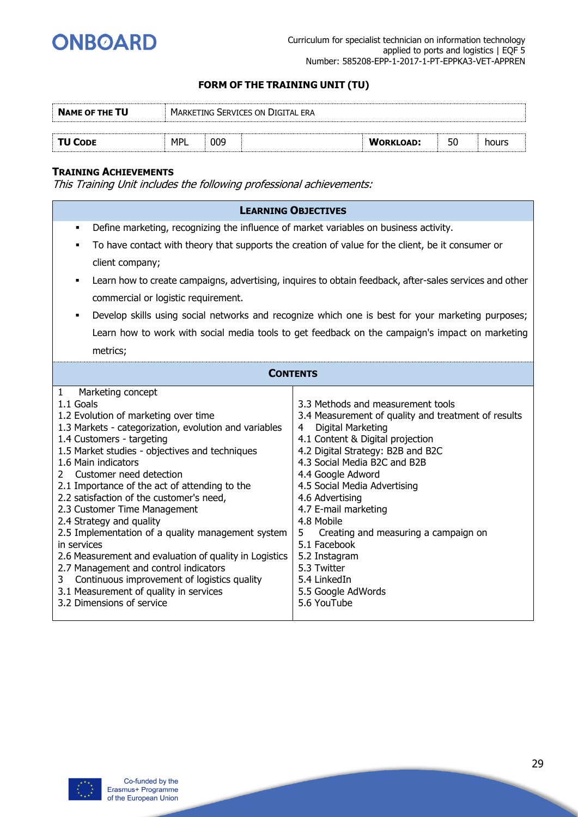

| <b>NAME OF THE TU</b> |            |     | MARKETING SERVICES ON DIGITAL ERA |                  |    |       |
|-----------------------|------------|-----|-----------------------------------|------------------|----|-------|
|                       |            |     |                                   |                  |    |       |
| <b>TU CODE</b>        | <b>MPI</b> | 009 |                                   | <b>WORKLOAD:</b> | 50 | hours |

#### **TRAINING ACHIEVEMENTS**

|                                                                                                                                                                                                                                                                                                                                                                                                                                                                                                                                                                                                                                                                                                                                                           | <b>LEARNING OBJECTIVES</b>                                                                                                                                                                                                                                                                                                                                                                                                                                                                  |  |  |  |  |
|-----------------------------------------------------------------------------------------------------------------------------------------------------------------------------------------------------------------------------------------------------------------------------------------------------------------------------------------------------------------------------------------------------------------------------------------------------------------------------------------------------------------------------------------------------------------------------------------------------------------------------------------------------------------------------------------------------------------------------------------------------------|---------------------------------------------------------------------------------------------------------------------------------------------------------------------------------------------------------------------------------------------------------------------------------------------------------------------------------------------------------------------------------------------------------------------------------------------------------------------------------------------|--|--|--|--|
| Define marketing, recognizing the influence of market variables on business activity.<br>٠                                                                                                                                                                                                                                                                                                                                                                                                                                                                                                                                                                                                                                                                |                                                                                                                                                                                                                                                                                                                                                                                                                                                                                             |  |  |  |  |
| ٠                                                                                                                                                                                                                                                                                                                                                                                                                                                                                                                                                                                                                                                                                                                                                         | To have contact with theory that supports the creation of value for the client, be it consumer or                                                                                                                                                                                                                                                                                                                                                                                           |  |  |  |  |
| client company;                                                                                                                                                                                                                                                                                                                                                                                                                                                                                                                                                                                                                                                                                                                                           |                                                                                                                                                                                                                                                                                                                                                                                                                                                                                             |  |  |  |  |
| ٠                                                                                                                                                                                                                                                                                                                                                                                                                                                                                                                                                                                                                                                                                                                                                         | Learn how to create campaigns, advertising, inquires to obtain feedback, after-sales services and other                                                                                                                                                                                                                                                                                                                                                                                     |  |  |  |  |
| commercial or logistic requirement.                                                                                                                                                                                                                                                                                                                                                                                                                                                                                                                                                                                                                                                                                                                       |                                                                                                                                                                                                                                                                                                                                                                                                                                                                                             |  |  |  |  |
| ٠                                                                                                                                                                                                                                                                                                                                                                                                                                                                                                                                                                                                                                                                                                                                                         | Develop skills using social networks and recognize which one is best for your marketing purposes;                                                                                                                                                                                                                                                                                                                                                                                           |  |  |  |  |
|                                                                                                                                                                                                                                                                                                                                                                                                                                                                                                                                                                                                                                                                                                                                                           | Learn how to work with social media tools to get feedback on the campaign's impact on marketing                                                                                                                                                                                                                                                                                                                                                                                             |  |  |  |  |
| metrics;                                                                                                                                                                                                                                                                                                                                                                                                                                                                                                                                                                                                                                                                                                                                                  |                                                                                                                                                                                                                                                                                                                                                                                                                                                                                             |  |  |  |  |
| <b>CONTENTS</b>                                                                                                                                                                                                                                                                                                                                                                                                                                                                                                                                                                                                                                                                                                                                           |                                                                                                                                                                                                                                                                                                                                                                                                                                                                                             |  |  |  |  |
| Marketing concept<br>1<br>1.1 Goals<br>1.2 Evolution of marketing over time<br>1.3 Markets - categorization, evolution and variables<br>1.4 Customers - targeting<br>1.5 Market studies - objectives and techniques<br>1.6 Main indicators<br>Customer need detection<br>$\mathbf{2}^{\prime}$<br>2.1 Importance of the act of attending to the<br>2.2 satisfaction of the customer's need,<br>2.3 Customer Time Management<br>2.4 Strategy and quality<br>2.5 Implementation of a quality management system<br>in services<br>2.6 Measurement and evaluation of quality in Logistics<br>2.7 Management and control indicators<br>Continuous improvement of logistics quality<br>3<br>3.1 Measurement of quality in services<br>3.2 Dimensions of service | 3.3 Methods and measurement tools<br>3.4 Measurement of quality and treatment of results<br>Digital Marketing<br>4<br>4.1 Content & Digital projection<br>4.2 Digital Strategy: B2B and B2C<br>4.3 Social Media B2C and B2B<br>4.4 Google Adword<br>4.5 Social Media Advertising<br>4.6 Advertising<br>4.7 E-mail marketing<br>4.8 Mobile<br>5<br>Creating and measuring a campaign on<br>5.1 Facebook<br>5.2 Instagram<br>5.3 Twitter<br>5.4 LinkedIn<br>5.5 Google AdWords<br>5.6 YouTube |  |  |  |  |

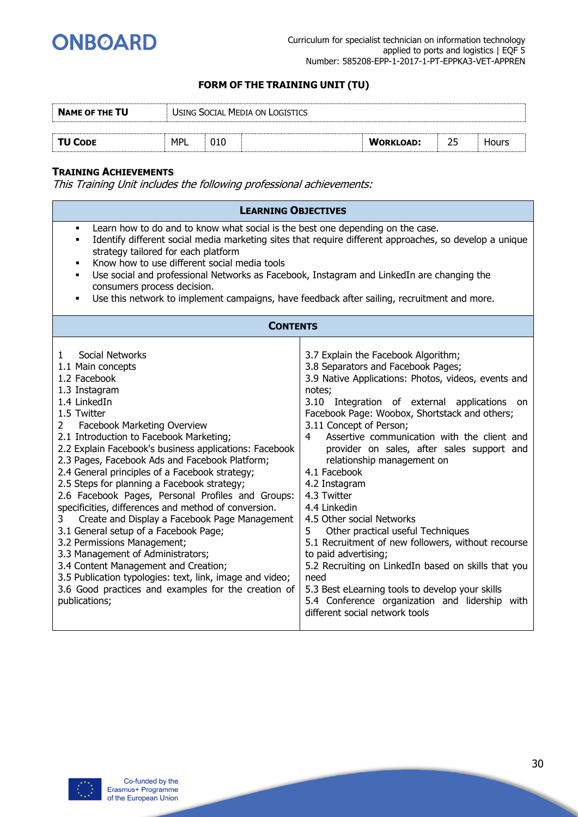

| <b>NAME OF THE TU</b> |            | USING SOCIAL MEDIA ON LOGISTICS |                  |              |  |
|-----------------------|------------|---------------------------------|------------------|--------------|--|
|                       |            |                                 |                  |              |  |
| <b>TU CODE</b>        | <b>MPL</b> |                                 | <b>WORKLOAD:</b> | <b>Hours</b> |  |

#### **TRAINING ACHIEVEMENTS**

| <b>LEARNING OBJECTIVES</b>                                                                                                                                                                                                                                                                                                                                                                                                                                                                                                                                                                                                                                                                                                                                                                                                                                                             |                                                                                                                                                                                                                                                                                                                                                                                                                                                                                                                                                                                                                                                                                                                                                                                                                                        |  |  |  |
|----------------------------------------------------------------------------------------------------------------------------------------------------------------------------------------------------------------------------------------------------------------------------------------------------------------------------------------------------------------------------------------------------------------------------------------------------------------------------------------------------------------------------------------------------------------------------------------------------------------------------------------------------------------------------------------------------------------------------------------------------------------------------------------------------------------------------------------------------------------------------------------|----------------------------------------------------------------------------------------------------------------------------------------------------------------------------------------------------------------------------------------------------------------------------------------------------------------------------------------------------------------------------------------------------------------------------------------------------------------------------------------------------------------------------------------------------------------------------------------------------------------------------------------------------------------------------------------------------------------------------------------------------------------------------------------------------------------------------------------|--|--|--|
| Learn how to do and to know what social is the best one depending on the case.<br>$\blacksquare$<br>Identify different social media marketing sites that require different approaches, so develop a unique<br>$\blacksquare$<br>strategy tailored for each platform<br>Know how to use different social media tools<br>٠<br>Use social and professional Networks as Facebook, Instagram and LinkedIn are changing the<br>٠<br>consumers process decision.<br>Use this network to implement campaigns, have feedback after sailing, recruitment and more.<br>٠                                                                                                                                                                                                                                                                                                                          |                                                                                                                                                                                                                                                                                                                                                                                                                                                                                                                                                                                                                                                                                                                                                                                                                                        |  |  |  |
| <b>CONTENTS</b>                                                                                                                                                                                                                                                                                                                                                                                                                                                                                                                                                                                                                                                                                                                                                                                                                                                                        |                                                                                                                                                                                                                                                                                                                                                                                                                                                                                                                                                                                                                                                                                                                                                                                                                                        |  |  |  |
| Social Networks<br>1.<br>1.1 Main concepts<br>1.2 Facebook<br>1.3 Instagram<br>1.4 LinkedIn<br>1.5 Twitter<br>Facebook Marketing Overview<br>$\mathbf{2}^{\prime}$<br>2.1 Introduction to Facebook Marketing;<br>2.2 Explain Facebook's business applications: Facebook<br>2.3 Pages, Facebook Ads and Facebook Platform;<br>2.4 General principles of a Facebook strategy;<br>2.5 Steps for planning a Facebook strategy;<br>2.6 Facebook Pages, Personal Profiles and Groups:<br>specificities, differences and method of conversion.<br>Create and Display a Facebook Page Management<br>3<br>3.1 General setup of a Facebook Page;<br>3.2 Permissions Management;<br>3.3 Management of Administrators;<br>3.4 Content Management and Creation;<br>3.5 Publication typologies: text, link, image and video;<br>3.6 Good practices and examples for the creation of<br>publications; | 3.7 Explain the Facebook Algorithm;<br>3.8 Separators and Facebook Pages;<br>3.9 Native Applications: Photos, videos, events and<br>notes;<br>3.10 Integration of external applications<br>on.<br>Facebook Page: Woobox, Shortstack and others;<br>3.11 Concept of Person;<br>Assertive communication with the client and<br>4<br>provider on sales, after sales support and<br>relationship management on<br>4.1 Facebook<br>4.2 Instagram<br>4.3 Twitter<br>4.4 Linkedin<br>4.5 Other social Networks<br>Other practical useful Techniques<br>5.<br>5.1 Recruitment of new followers, without recourse<br>to paid advertising;<br>5.2 Recruiting on LinkedIn based on skills that you<br>need<br>5.3 Best eLearning tools to develop your skills<br>5.4 Conference organization and lidership with<br>different social network tools |  |  |  |

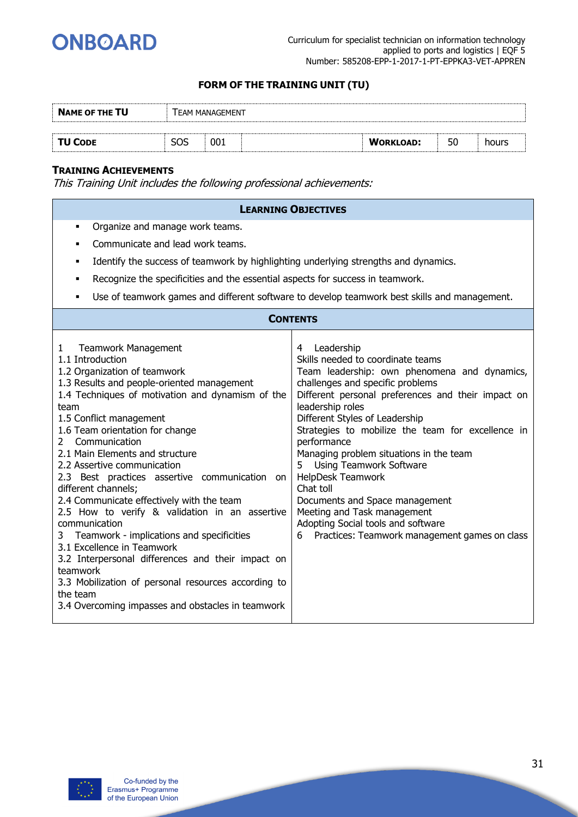

| <b>NAME OF THE TU</b> |     | <b>ΓΕΑΜ ΜΑΝΑGEMENT</b> |                  |    |       |
|-----------------------|-----|------------------------|------------------|----|-------|
|                       |     |                        |                  |    |       |
| <b>TU CODE</b>        | SOS | 001                    | <b>WORKLOAD:</b> | 50 | hours |

#### **TRAINING ACHIEVEMENTS**

|                                                                                                                                                                                                                                                                                                                                                                                                                                                                                                                                                                                                                                                                                                                                                                                                                                   | <b>LEARNING OBJECTIVES</b>                                                                                                                                                                                                                                                                                                                                                                                                                                                                                                                                                                                |  |  |  |  |
|-----------------------------------------------------------------------------------------------------------------------------------------------------------------------------------------------------------------------------------------------------------------------------------------------------------------------------------------------------------------------------------------------------------------------------------------------------------------------------------------------------------------------------------------------------------------------------------------------------------------------------------------------------------------------------------------------------------------------------------------------------------------------------------------------------------------------------------|-----------------------------------------------------------------------------------------------------------------------------------------------------------------------------------------------------------------------------------------------------------------------------------------------------------------------------------------------------------------------------------------------------------------------------------------------------------------------------------------------------------------------------------------------------------------------------------------------------------|--|--|--|--|
| Organize and manage work teams.<br>٠                                                                                                                                                                                                                                                                                                                                                                                                                                                                                                                                                                                                                                                                                                                                                                                              |                                                                                                                                                                                                                                                                                                                                                                                                                                                                                                                                                                                                           |  |  |  |  |
| Communicate and lead work teams.                                                                                                                                                                                                                                                                                                                                                                                                                                                                                                                                                                                                                                                                                                                                                                                                  |                                                                                                                                                                                                                                                                                                                                                                                                                                                                                                                                                                                                           |  |  |  |  |
| Identify the success of teamwork by highlighting underlying strengths and dynamics.<br>٠                                                                                                                                                                                                                                                                                                                                                                                                                                                                                                                                                                                                                                                                                                                                          |                                                                                                                                                                                                                                                                                                                                                                                                                                                                                                                                                                                                           |  |  |  |  |
| Recognize the specificities and the essential aspects for success in teamwork.<br>٠                                                                                                                                                                                                                                                                                                                                                                                                                                                                                                                                                                                                                                                                                                                                               |                                                                                                                                                                                                                                                                                                                                                                                                                                                                                                                                                                                                           |  |  |  |  |
| ٠                                                                                                                                                                                                                                                                                                                                                                                                                                                                                                                                                                                                                                                                                                                                                                                                                                 | Use of teamwork games and different software to develop teamwork best skills and management.                                                                                                                                                                                                                                                                                                                                                                                                                                                                                                              |  |  |  |  |
|                                                                                                                                                                                                                                                                                                                                                                                                                                                                                                                                                                                                                                                                                                                                                                                                                                   | <b>CONTENTS</b>                                                                                                                                                                                                                                                                                                                                                                                                                                                                                                                                                                                           |  |  |  |  |
| <b>Teamwork Management</b><br>1<br>1.1 Introduction<br>1.2 Organization of teamwork<br>1.3 Results and people-oriented management<br>1.4 Techniques of motivation and dynamism of the<br>team<br>1.5 Conflict management<br>1.6 Team orientation for change<br>Communication<br>$\overline{2}$<br>2.1 Main Elements and structure<br>2.2 Assertive communication<br>2.3 Best practices assertive communication on<br>different channels;<br>2.4 Communicate effectively with the team<br>2.5 How to verify & validation in an assertive<br>communication<br>Teamwork - implications and specificities<br>3<br>3.1 Excellence in Teamwork<br>3.2 Interpersonal differences and their impact on<br>teamwork<br>3.3 Mobilization of personal resources according to<br>the team<br>3.4 Overcoming impasses and obstacles in teamwork | Leadership<br>4<br>Skills needed to coordinate teams<br>Team leadership: own phenomena and dynamics,<br>challenges and specific problems<br>Different personal preferences and their impact on<br>leadership roles<br>Different Styles of Leadership<br>Strategies to mobilize the team for excellence in<br>performance<br>Managing problem situations in the team<br>5<br><b>Using Teamwork Software</b><br>HelpDesk Teamwork<br>Chat toll<br>Documents and Space management<br>Meeting and Task management<br>Adopting Social tools and software<br>Practices: Teamwork management games on class<br>6 |  |  |  |  |

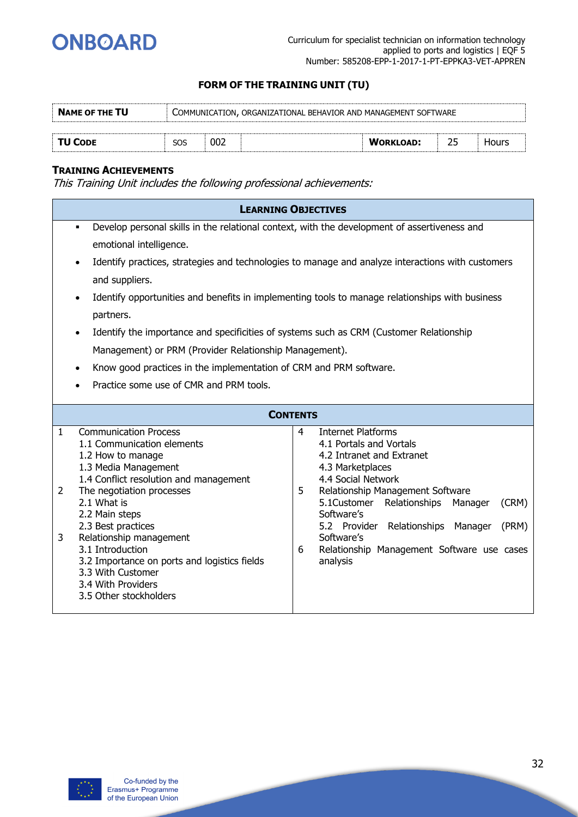

| <b>NAME OF THE TU</b> |     |     | COMMUNICATION, ORGANIZATIONAL BEHAVIOR AND MANAGEMENT SOFTWARE |                  |       |  |
|-----------------------|-----|-----|----------------------------------------------------------------|------------------|-------|--|
|                       |     |     |                                                                |                  |       |  |
| <b>TU CODE</b>        | SOS | 002 |                                                                | <b>WORKLOAD:</b> | Hours |  |

#### **TRAINING ACHIEVEMENTS**

|              | <b>LEARNING OBJECTIVES</b>                                                                        |   |                                                           |
|--------------|---------------------------------------------------------------------------------------------------|---|-----------------------------------------------------------|
|              | Develop personal skills in the relational context, with the development of assertiveness and<br>٠ |   |                                                           |
|              | emotional intelligence.                                                                           |   |                                                           |
|              | Identify practices, strategies and technologies to manage and analyze interactions with customers |   |                                                           |
|              | and suppliers.                                                                                    |   |                                                           |
|              | Identify opportunities and benefits in implementing tools to manage relationships with business   |   |                                                           |
|              | partners.                                                                                         |   |                                                           |
|              | Identify the importance and specificities of systems such as CRM (Customer Relationship           |   |                                                           |
|              | Management) or PRM (Provider Relationship Management).                                            |   |                                                           |
|              | Know good practices in the implementation of CRM and PRM software.                                |   |                                                           |
|              | Practice some use of CMR and PRM tools.                                                           |   |                                                           |
|              |                                                                                                   |   |                                                           |
|              | <b>CONTENTS</b>                                                                                   |   |                                                           |
| $\mathbf{1}$ | <b>Communication Process</b>                                                                      | 4 | <b>Internet Platforms</b>                                 |
|              | 1.1 Communication elements                                                                        |   | 4.1 Portals and Vortals                                   |
|              | 1.2 How to manage                                                                                 |   | 4.2 Intranet and Extranet                                 |
|              | 1.3 Media Management                                                                              |   | 4.3 Marketplaces                                          |
|              | 1.4 Conflict resolution and management                                                            |   | 4.4 Social Network                                        |
| 2            | The negotiation processes                                                                         | 5 | Relationship Management Software                          |
|              | 2.1 What is                                                                                       |   | 5.1Customer<br>Relationships<br>Manager<br>(CRM)          |
|              | 2.2 Main steps                                                                                    |   | Software's                                                |
|              | 2.3 Best practices                                                                                |   | 5.2 Provider Relationships Manager<br>(PRM)<br>Software's |
| 3            | Relationship management<br>3.1 Introduction                                                       |   |                                                           |
|              |                                                                                                   | 6 | Relationship Management Software use cases<br>analysis    |
|              | 3.2 Importance on ports and logistics fields<br>3.3 With Customer                                 |   |                                                           |
|              | 3.4 With Providers                                                                                |   |                                                           |
|              |                                                                                                   |   |                                                           |
|              |                                                                                                   |   |                                                           |
|              | 3.5 Other stockholders                                                                            |   |                                                           |

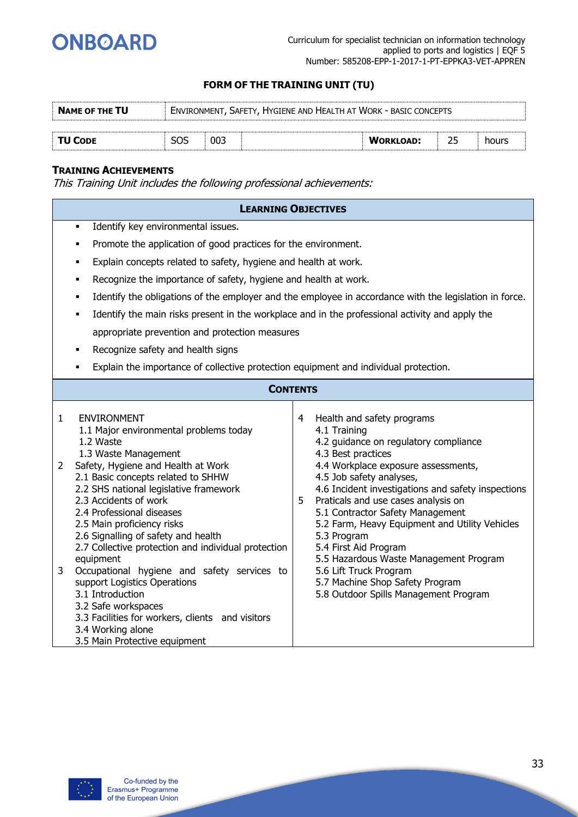

| <b>NAME OF THE TU</b> |     | ENVIRONMENT, SAFETY, HYGIENE AND HEALTH AT WORK - BASIC CONCEPTS |                  |       |
|-----------------------|-----|------------------------------------------------------------------|------------------|-------|
|                       |     |                                                                  |                  |       |
| <b>TU CODE</b>        | 003 |                                                                  | <b>WORKLOAD:</b> | hours |

#### **TRAINING ACHIEVEMENTS**

|                        | <b>LEARNING OBJECTIVES</b>                                                                                                                                                                                                                                                                                                                                                                                                                                                                                                                                                                                                                                 |        |                                                                                                                                                                                                                                                                                                                                                                                                                                                                                                                                                         |
|------------------------|------------------------------------------------------------------------------------------------------------------------------------------------------------------------------------------------------------------------------------------------------------------------------------------------------------------------------------------------------------------------------------------------------------------------------------------------------------------------------------------------------------------------------------------------------------------------------------------------------------------------------------------------------------|--------|---------------------------------------------------------------------------------------------------------------------------------------------------------------------------------------------------------------------------------------------------------------------------------------------------------------------------------------------------------------------------------------------------------------------------------------------------------------------------------------------------------------------------------------------------------|
|                        | Identify key environmental issues.<br>٠                                                                                                                                                                                                                                                                                                                                                                                                                                                                                                                                                                                                                    |        |                                                                                                                                                                                                                                                                                                                                                                                                                                                                                                                                                         |
|                        | Promote the application of good practices for the environment.<br>٠                                                                                                                                                                                                                                                                                                                                                                                                                                                                                                                                                                                        |        |                                                                                                                                                                                                                                                                                                                                                                                                                                                                                                                                                         |
|                        | Explain concepts related to safety, hygiene and health at work.<br>٠                                                                                                                                                                                                                                                                                                                                                                                                                                                                                                                                                                                       |        |                                                                                                                                                                                                                                                                                                                                                                                                                                                                                                                                                         |
|                        | Recognize the importance of safety, hygiene and health at work.<br>٠                                                                                                                                                                                                                                                                                                                                                                                                                                                                                                                                                                                       |        |                                                                                                                                                                                                                                                                                                                                                                                                                                                                                                                                                         |
|                        |                                                                                                                                                                                                                                                                                                                                                                                                                                                                                                                                                                                                                                                            |        | Identify the obligations of the employer and the employee in accordance with the legislation in force.                                                                                                                                                                                                                                                                                                                                                                                                                                                  |
|                        | Identify the main risks present in the workplace and in the professional activity and apply the<br>٠                                                                                                                                                                                                                                                                                                                                                                                                                                                                                                                                                       |        |                                                                                                                                                                                                                                                                                                                                                                                                                                                                                                                                                         |
|                        | appropriate prevention and protection measures                                                                                                                                                                                                                                                                                                                                                                                                                                                                                                                                                                                                             |        |                                                                                                                                                                                                                                                                                                                                                                                                                                                                                                                                                         |
|                        | Recognize safety and health signs<br>٠                                                                                                                                                                                                                                                                                                                                                                                                                                                                                                                                                                                                                     |        |                                                                                                                                                                                                                                                                                                                                                                                                                                                                                                                                                         |
|                        | Explain the importance of collective protection equipment and individual protection.<br>٠                                                                                                                                                                                                                                                                                                                                                                                                                                                                                                                                                                  |        |                                                                                                                                                                                                                                                                                                                                                                                                                                                                                                                                                         |
|                        | <b>CONTENTS</b>                                                                                                                                                                                                                                                                                                                                                                                                                                                                                                                                                                                                                                            |        |                                                                                                                                                                                                                                                                                                                                                                                                                                                                                                                                                         |
| $\mathbf{1}$<br>2<br>3 | <b>ENVIRONMENT</b><br>1.1 Major environmental problems today<br>1.2 Waste<br>1.3 Waste Management<br>Safety, Hygiene and Health at Work<br>2.1 Basic concepts related to SHHW<br>2.2 SHS national legislative framework<br>2.3 Accidents of work<br>2.4 Professional diseases<br>2.5 Main proficiency risks<br>2.6 Signalling of safety and health<br>2.7 Collective protection and individual protection<br>equipment<br>Occupational hygiene and safety services to<br>support Logistics Operations<br>3.1 Introduction<br>3.2 Safe workspaces<br>3.3 Facilities for workers, clients and visitors<br>3.4 Working alone<br>3.5 Main Protective equipment | 4<br>5 | Health and safety programs<br>4.1 Training<br>4.2 guidance on regulatory compliance<br>4.3 Best practices<br>4.4 Workplace exposure assessments,<br>4.5 Job safety analyses,<br>4.6 Incident investigations and safety inspections<br>Praticals and use cases analysis on<br>5.1 Contractor Safety Management<br>5.2 Farm, Heavy Equipment and Utility Vehicles<br>5.3 Program<br>5.4 First Aid Program<br>5.5 Hazardous Waste Management Program<br>5.6 Lift Truck Program<br>5.7 Machine Shop Safety Program<br>5.8 Outdoor Spills Management Program |

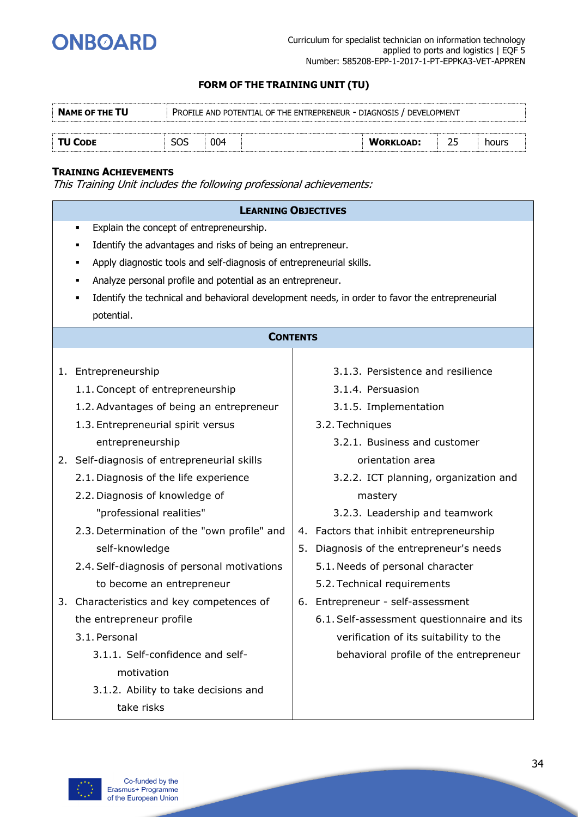

| <b>NAME OF THE TU</b> |     | PROFILE AND POTENTIAL OF THE ENTREPRENEUR - DIAGNOSIS / DEVELOPMENT |                  |       |
|-----------------------|-----|---------------------------------------------------------------------|------------------|-------|
| <b>TU CODE</b>        | SOS | 004                                                                 | <b>WORKLOAD:</b> | hours |

#### **TRAINING ACHIEVEMENTS**

| <b>LEARNING OBJECTIVES</b>                                                                                                                                                                                                                         |    |                                            |  |  |  |  |  |
|----------------------------------------------------------------------------------------------------------------------------------------------------------------------------------------------------------------------------------------------------|----|--------------------------------------------|--|--|--|--|--|
| Explain the concept of entrepreneurship.<br>٠<br>Identify the advantages and risks of being an entrepreneur.<br>Apply diagnostic tools and self-diagnosis of entrepreneurial skills.<br>Analyze personal profile and potential as an entrepreneur. |    |                                            |  |  |  |  |  |
| Identify the technical and behavioral development needs, in order to favor the entrepreneurial<br>potential.                                                                                                                                       |    |                                            |  |  |  |  |  |
| <b>CONTENTS</b>                                                                                                                                                                                                                                    |    |                                            |  |  |  |  |  |
| 1. Entrepreneurship                                                                                                                                                                                                                                |    | 3.1.3. Persistence and resilience          |  |  |  |  |  |
| 1.1. Concept of entrepreneurship                                                                                                                                                                                                                   |    | 3.1.4. Persuasion                          |  |  |  |  |  |
| 1.2. Advantages of being an entrepreneur                                                                                                                                                                                                           |    | 3.1.5. Implementation                      |  |  |  |  |  |
| 1.3. Entrepreneurial spirit versus                                                                                                                                                                                                                 |    | 3.2. Techniques                            |  |  |  |  |  |
| entrepreneurship                                                                                                                                                                                                                                   |    | 3.2.1. Business and customer               |  |  |  |  |  |
| 2. Self-diagnosis of entrepreneurial skills                                                                                                                                                                                                        |    | orientation area                           |  |  |  |  |  |
| 2.1. Diagnosis of the life experience                                                                                                                                                                                                              |    | 3.2.2. ICT planning, organization and      |  |  |  |  |  |
| 2.2. Diagnosis of knowledge of                                                                                                                                                                                                                     |    | mastery                                    |  |  |  |  |  |
| "professional realities"                                                                                                                                                                                                                           |    | 3.2.3. Leadership and teamwork             |  |  |  |  |  |
| 2.3. Determination of the "own profile" and                                                                                                                                                                                                        |    | 4. Factors that inhibit entrepreneurship   |  |  |  |  |  |
| self-knowledge                                                                                                                                                                                                                                     | 5. | Diagnosis of the entrepreneur's needs      |  |  |  |  |  |
| 2.4. Self-diagnosis of personal motivations                                                                                                                                                                                                        |    | 5.1. Needs of personal character           |  |  |  |  |  |
| to become an entrepreneur                                                                                                                                                                                                                          |    | 5.2. Technical requirements                |  |  |  |  |  |
| 3. Characteristics and key competences of                                                                                                                                                                                                          |    | 6. Entrepreneur - self-assessment          |  |  |  |  |  |
| the entrepreneur profile                                                                                                                                                                                                                           |    | 6.1. Self-assessment questionnaire and its |  |  |  |  |  |
| 3.1. Personal                                                                                                                                                                                                                                      |    | verification of its suitability to the     |  |  |  |  |  |
| 3.1.1. Self-confidence and self-                                                                                                                                                                                                                   |    | behavioral profile of the entrepreneur     |  |  |  |  |  |
| motivation                                                                                                                                                                                                                                         |    |                                            |  |  |  |  |  |
| 3.1.2. Ability to take decisions and                                                                                                                                                                                                               |    |                                            |  |  |  |  |  |
| take risks                                                                                                                                                                                                                                         |    |                                            |  |  |  |  |  |

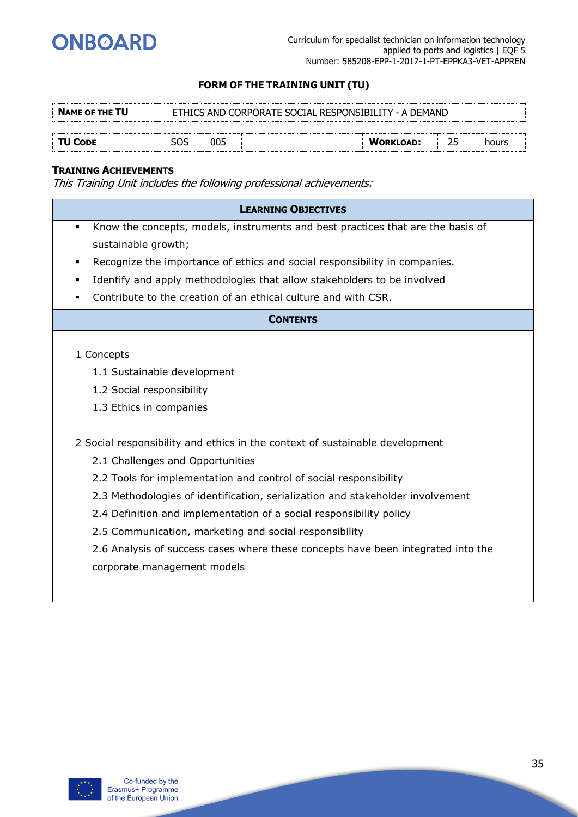

| <b>NAME OF THE TU</b> | ETHICS AND CORPORATE SOCIAL RESPONSIBILITY - A DEMAND |     |  |                  |  |       |  |
|-----------------------|-------------------------------------------------------|-----|--|------------------|--|-------|--|
|                       |                                                       |     |  |                  |  |       |  |
| <b>TU CODE</b>        | SOS                                                   | 005 |  | <b>WORKLOAD:</b> |  | hours |  |

#### **TRAINING ACHIEVEMENTS**

| <b>LEARNING OBJECTIVES</b>                                                                        |
|---------------------------------------------------------------------------------------------------|
|                                                                                                   |
| Know the concepts, models, instruments and best practices that are the basis of<br>$\blacksquare$ |
| sustainable growth;                                                                               |
| Recognize the importance of ethics and social responsibility in companies.                        |
| Identify and apply methodologies that allow stakeholders to be involved                           |
| Contribute to the creation of an ethical culture and with CSR.<br>٠                               |
| <b>CONTENTS</b>                                                                                   |
|                                                                                                   |
| 1 Concepts                                                                                        |
| 1.1 Sustainable development                                                                       |
| 1.2 Social responsibility                                                                         |
| 1.3 Ethics in companies                                                                           |
|                                                                                                   |
| 2 Social responsibility and ethics in the context of sustainable development                      |
| 2.1 Challenges and Opportunities                                                                  |
| 2.2 Tools for implementation and control of social responsibility                                 |
| 2.3 Methodologies of identification, serialization and stakeholder involvement                    |
| 2.4 Definition and implementation of a social responsibility policy                               |
| 2.5 Communication, marketing and social responsibility                                            |
| 2.6 Analysis of success cases where these concepts have been integrated into the                  |
| corporate management models                                                                       |
|                                                                                                   |

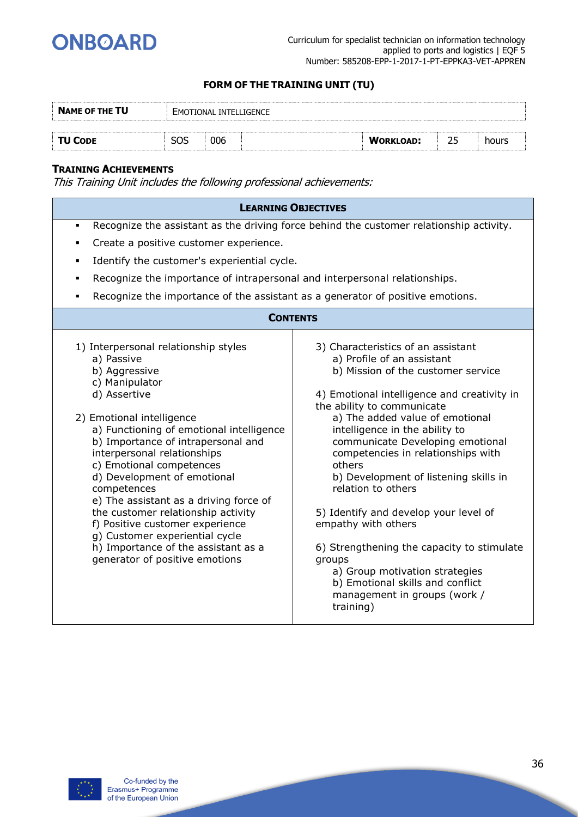

| <b>NAME OF THE TU</b> | EMOTIONAL INTELLIGENCE |     |  |                  |    |       |
|-----------------------|------------------------|-----|--|------------------|----|-------|
|                       |                        |     |  |                  |    |       |
| <b>TU CODE</b>        | SOS                    | 006 |  | <b>WORKLOAD:</b> | つに | hours |

#### **TRAINING ACHIEVEMENTS**

|                                                                                                                                                                                                                                                                                                                                                                                                                                                                                                                                                             | <b>LEARNING OBJECTIVES</b>                                                                                                                                                                                                                                                                                                                                                                                                                                                                                                                                                                                                                             |  |  |  |  |
|-------------------------------------------------------------------------------------------------------------------------------------------------------------------------------------------------------------------------------------------------------------------------------------------------------------------------------------------------------------------------------------------------------------------------------------------------------------------------------------------------------------------------------------------------------------|--------------------------------------------------------------------------------------------------------------------------------------------------------------------------------------------------------------------------------------------------------------------------------------------------------------------------------------------------------------------------------------------------------------------------------------------------------------------------------------------------------------------------------------------------------------------------------------------------------------------------------------------------------|--|--|--|--|
| Recognize the assistant as the driving force behind the customer relationship activity.<br>$\blacksquare$                                                                                                                                                                                                                                                                                                                                                                                                                                                   |                                                                                                                                                                                                                                                                                                                                                                                                                                                                                                                                                                                                                                                        |  |  |  |  |
| Create a positive customer experience.                                                                                                                                                                                                                                                                                                                                                                                                                                                                                                                      |                                                                                                                                                                                                                                                                                                                                                                                                                                                                                                                                                                                                                                                        |  |  |  |  |
| Identify the customer's experiential cycle.<br>٠                                                                                                                                                                                                                                                                                                                                                                                                                                                                                                            |                                                                                                                                                                                                                                                                                                                                                                                                                                                                                                                                                                                                                                                        |  |  |  |  |
| Recognize the importance of intrapersonal and interpersonal relationships.                                                                                                                                                                                                                                                                                                                                                                                                                                                                                  |                                                                                                                                                                                                                                                                                                                                                                                                                                                                                                                                                                                                                                                        |  |  |  |  |
| Recognize the importance of the assistant as a generator of positive emotions.<br>٠                                                                                                                                                                                                                                                                                                                                                                                                                                                                         |                                                                                                                                                                                                                                                                                                                                                                                                                                                                                                                                                                                                                                                        |  |  |  |  |
| <b>CONTENTS</b>                                                                                                                                                                                                                                                                                                                                                                                                                                                                                                                                             |                                                                                                                                                                                                                                                                                                                                                                                                                                                                                                                                                                                                                                                        |  |  |  |  |
| 1) Interpersonal relationship styles<br>a) Passive<br>b) Aggressive<br>c) Manipulator<br>d) Assertive<br>2) Emotional intelligence<br>a) Functioning of emotional intelligence<br>b) Importance of intrapersonal and<br>interpersonal relationships<br>c) Emotional competences<br>d) Development of emotional<br>competences<br>e) The assistant as a driving force of<br>the customer relationship activity<br>f) Positive customer experience<br>g) Customer experiential cycle<br>h) Importance of the assistant as a<br>generator of positive emotions | 3) Characteristics of an assistant<br>a) Profile of an assistant<br>b) Mission of the customer service<br>4) Emotional intelligence and creativity in<br>the ability to communicate<br>a) The added value of emotional<br>intelligence in the ability to<br>communicate Developing emotional<br>competencies in relationships with<br>others<br>b) Development of listening skills in<br>relation to others<br>5) Identify and develop your level of<br>empathy with others<br>6) Strengthening the capacity to stimulate<br>groups<br>a) Group motivation strategies<br>b) Emotional skills and conflict<br>management in groups (work /<br>training) |  |  |  |  |

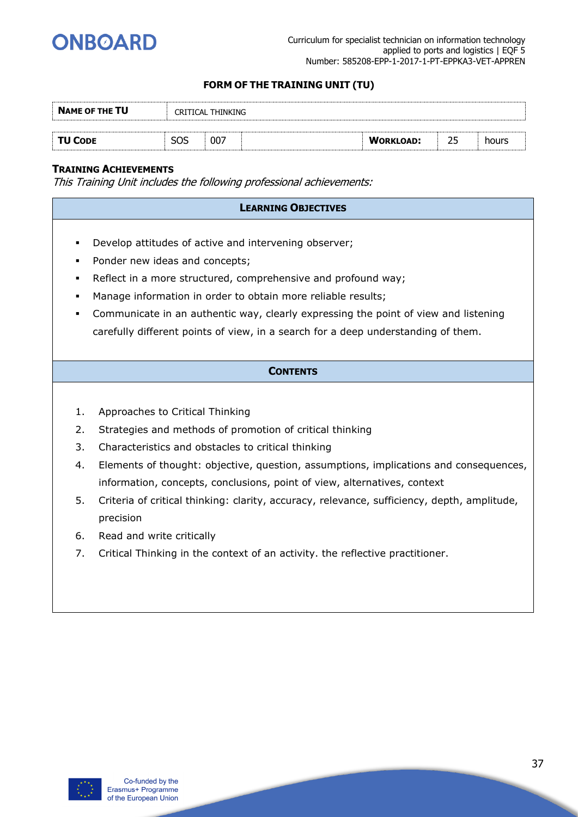

| <b>NAME OF THE TU</b> | CRITICAL THINKING |     |  |                  |    |       |  |
|-----------------------|-------------------|-----|--|------------------|----|-------|--|
|                       |                   |     |  |                  |    |       |  |
| <b>TU CODE</b>        | SOS               | 007 |  | <b>WORKLOAD:</b> | つに | hours |  |

#### **TRAINING ACHIEVEMENTS**

This Training Unit includes the following professional achievements:

## **LEARNING OBJECTIVES** ▪ Develop attitudes of active and intervening observer; ▪ Ponder new ideas and concepts; ▪ Reflect in a more structured, comprehensive and profound way; ▪ Manage information in order to obtain more reliable results; Communicate in an authentic way, clearly expressing the point of view and listening carefully different points of view, in a search for a deep understanding of them. **CONTENTS** 1. Approaches to Critical Thinking 2. Strategies and methods of promotion of critical thinking 3. Characteristics and obstacles to critical thinking 4. Elements of thought: objective, question, assumptions, implications and consequences, information, concepts, conclusions, point of view, alternatives, context 5. Criteria of critical thinking: clarity, accuracy, relevance, sufficiency, depth, amplitude, precision

- 6. Read and write critically
- 7. Critical Thinking in the context of an activity. the reflective practitioner.